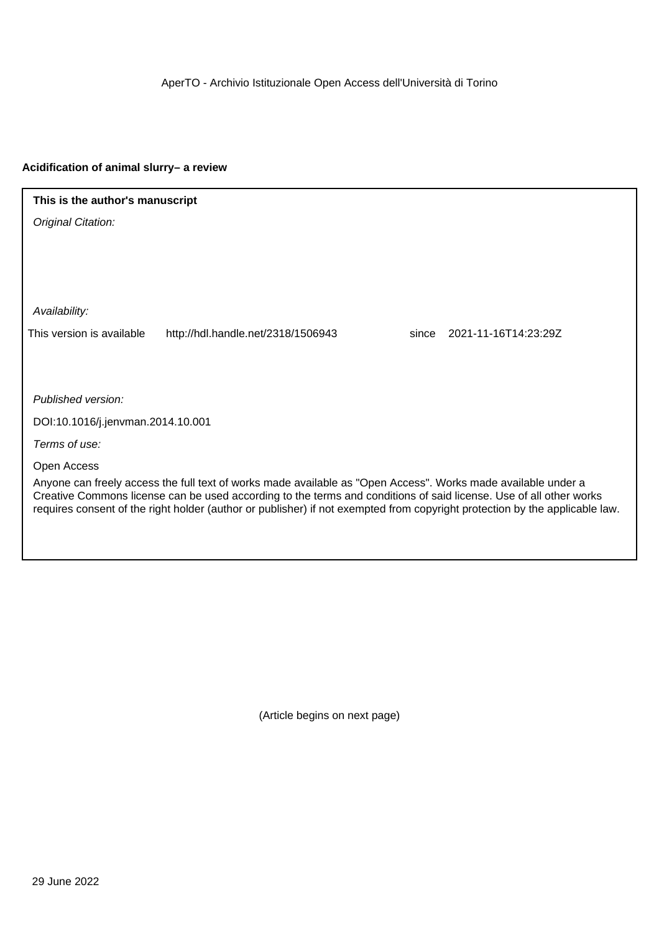AperTO - Archivio Istituzionale Open Access dell'Università di Torino

#### **Acidification of animal slurry– a review**

### **This is the author's manuscript**

Original Citation:

Availability:

This version is available http://hdl.handle.net/2318/1506943 since 2021-11-16T14:23:29Z

Published version:

DOI:10.1016/j.jenvman.2014.10.001

Terms of use:

Open Access

Anyone can freely access the full text of works made available as "Open Access". Works made available under a Creative Commons license can be used according to the terms and conditions of said license. Use of all other works requires consent of the right holder (author or publisher) if not exempted from copyright protection by the applicable law.

(Article begins on next page)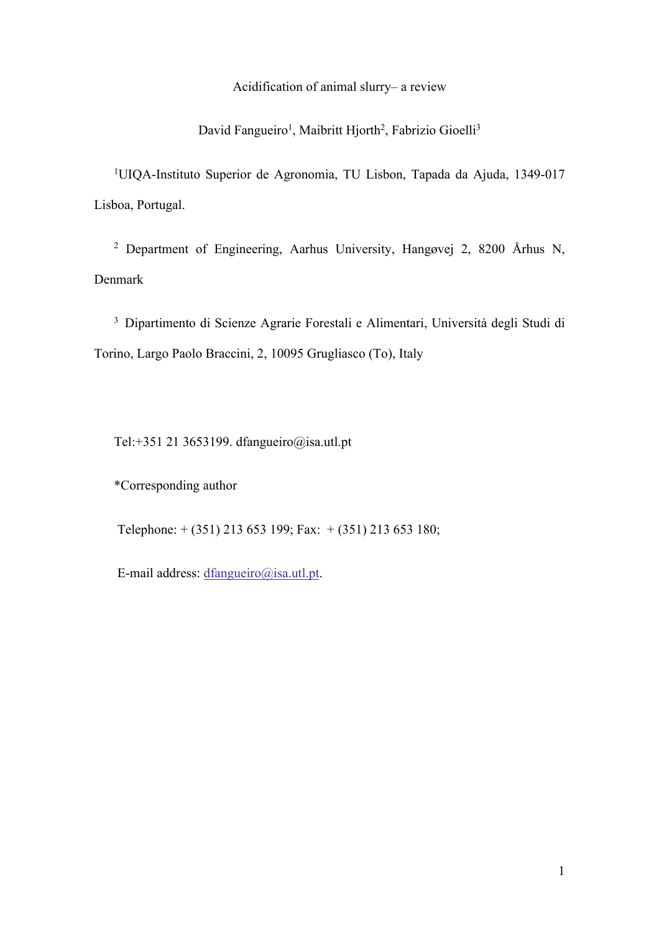Acidification of animal slurry– a review

David Fangueiro<sup>1</sup>, Maibritt Hjorth<sup>2</sup>, Fabrizio Gioelli<sup>3</sup>

1 UIQA-Instituto Superior de Agronomia, TU Lisbon, Tapada da Ajuda, 1349-017 Lisboa, Portugal.

<sup>2</sup> Department of Engineering, Aarhus University, Hangøvej 2, 8200 Århus N, Denmark

3 Dipartimento di Scienze Agrarie Forestali e Alimentari, Università degli Studi di Torino, Largo Paolo Braccini, 2, 10095 Grugliasco (To), Italy

Tel:+351 21 3653199. dfangueiro@isa.utl.pt

\*Corresponding author

Telephone: + (351) 213 653 199; Fax: + (351) 213 653 180;

E-mail address: dfangueiro@isa.utl.pt.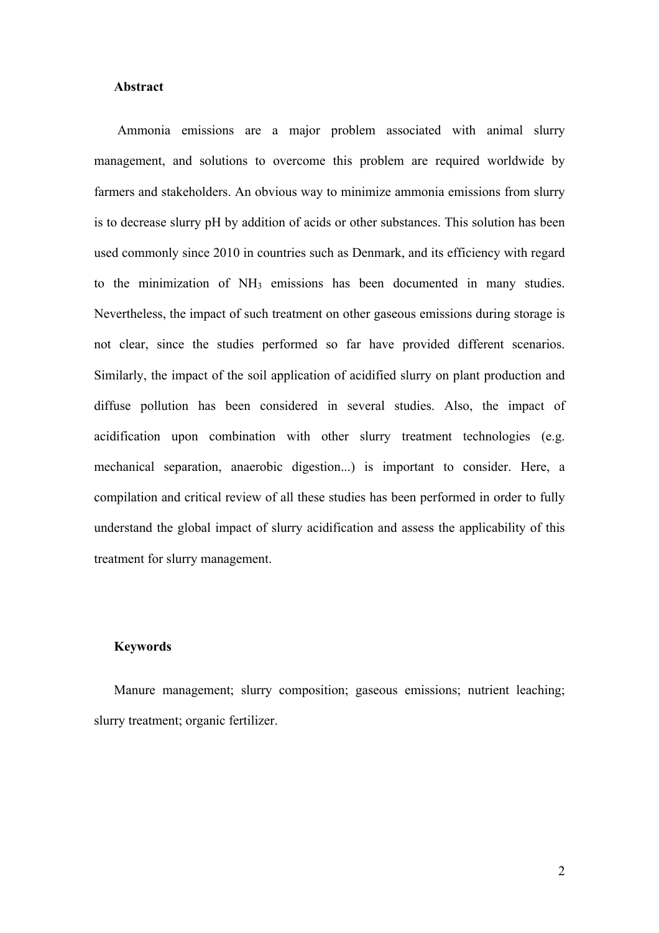### **Abstract**

Ammonia emissions are a major problem associated with animal slurry management, and solutions to overcome this problem are required worldwide by farmers and stakeholders. An obvious way to minimize ammonia emissions from slurry is to decrease slurry pH by addition of acids or other substances. This solution has been used commonly since 2010 in countries such as Denmark, and its efficiency with regard to the minimization of NH<sub>3</sub> emissions has been documented in many studies. Nevertheless, the impact of such treatment on other gaseous emissions during storage is not clear, since the studies performed so far have provided different scenarios. Similarly, the impact of the soil application of acidified slurry on plant production and diffuse pollution has been considered in several studies. Also, the impact of acidification upon combination with other slurry treatment technologies (e.g. mechanical separation, anaerobic digestion...) is important to consider. Here, a compilation and critical review of all these studies has been performed in order to fully understand the global impact of slurry acidification and assess the applicability of this treatment for slurry management.

### **Keywords**

Manure management; slurry composition; gaseous emissions; nutrient leaching; slurry treatment; organic fertilizer.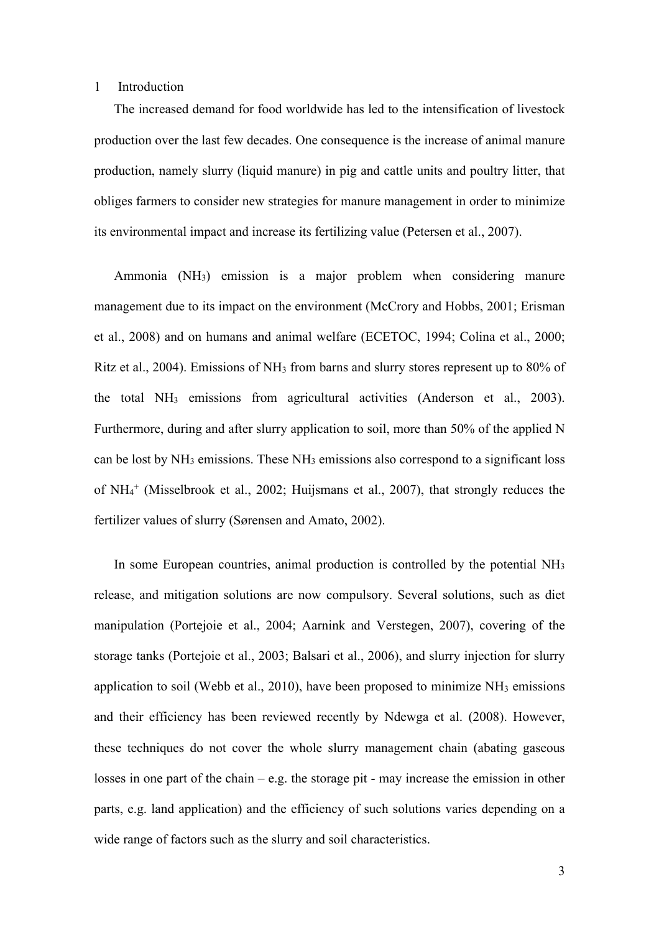### 1 Introduction

The increased demand for food worldwide has led to the intensification of livestock production over the last few decades. One consequence is the increase of animal manure production, namely slurry (liquid manure) in pig and cattle units and poultry litter, that obliges farmers to consider new strategies for manure management in order to minimize its environmental impact and increase its fertilizing value (Petersen et al., 2007).

Ammonia (NH3) emission is a major problem when considering manure management due to its impact on the environment (McCrory and Hobbs, 2001; Erisman et al., 2008) and on humans and animal welfare (ECETOC, 1994; Colina et al., 2000; Ritz et al., 2004). Emissions of  $NH_3$  from barns and slurry stores represent up to 80% of the total  $NH<sub>3</sub>$  emissions from agricultural activities (Anderson et al., 2003). Furthermore, during and after slurry application to soil, more than 50% of the applied N can be lost by  $NH_3$  emissions. These  $NH_3$  emissions also correspond to a significant loss of NH4 <sup>+</sup> (Misselbrook et al., 2002; Huijsmans et al., 2007), that strongly reduces the fertilizer values of slurry (Sørensen and Amato, 2002).

In some European countries, animal production is controlled by the potential NH<sub>3</sub> release, and mitigation solutions are now compulsory. Several solutions, such as diet manipulation (Portejoie et al., 2004; Aarnink and Verstegen, 2007), covering of the storage tanks (Portejoie et al., 2003; Balsari et al., 2006), and slurry injection for slurry application to soil (Webb et al., 2010), have been proposed to minimize  $NH<sub>3</sub>$  emissions and their efficiency has been reviewed recently by Ndewga et al. (2008). However, these techniques do not cover the whole slurry management chain (abating gaseous losses in one part of the chain – e.g. the storage pit - may increase the emission in other parts, e.g. land application) and the efficiency of such solutions varies depending on a wide range of factors such as the slurry and soil characteristics.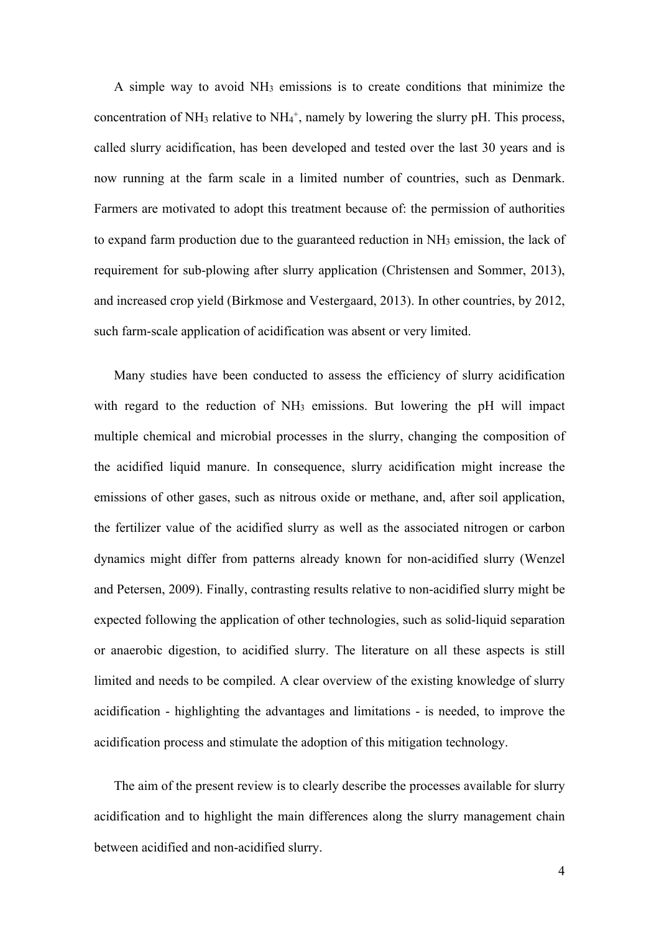A simple way to avoid NH3 emissions is to create conditions that minimize the concentration of NH<sub>3</sub> relative to NH<sub>4</sub><sup>+</sup>, namely by lowering the slurry pH. This process, called slurry acidification, has been developed and tested over the last 30 years and is now running at the farm scale in a limited number of countries, such as Denmark. Farmers are motivated to adopt this treatment because of: the permission of authorities to expand farm production due to the guaranteed reduction in  $NH<sub>3</sub>$  emission, the lack of requirement for sub-plowing after slurry application (Christensen and Sommer, 2013), and increased crop yield (Birkmose and Vestergaard, 2013). In other countries, by 2012, such farm-scale application of acidification was absent or very limited.

Many studies have been conducted to assess the efficiency of slurry acidification with regard to the reduction of  $NH<sub>3</sub>$  emissions. But lowering the pH will impact multiple chemical and microbial processes in the slurry, changing the composition of the acidified liquid manure. In consequence, slurry acidification might increase the emissions of other gases, such as nitrous oxide or methane, and, after soil application, the fertilizer value of the acidified slurry as well as the associated nitrogen or carbon dynamics might differ from patterns already known for non-acidified slurry (Wenzel and Petersen, 2009). Finally, contrasting results relative to non-acidified slurry might be expected following the application of other technologies, such as solid-liquid separation or anaerobic digestion, to acidified slurry. The literature on all these aspects is still limited and needs to be compiled. A clear overview of the existing knowledge of slurry acidification - highlighting the advantages and limitations - is needed, to improve the acidification process and stimulate the adoption of this mitigation technology.

The aim of the present review is to clearly describe the processes available for slurry acidification and to highlight the main differences along the slurry management chain between acidified and non-acidified slurry.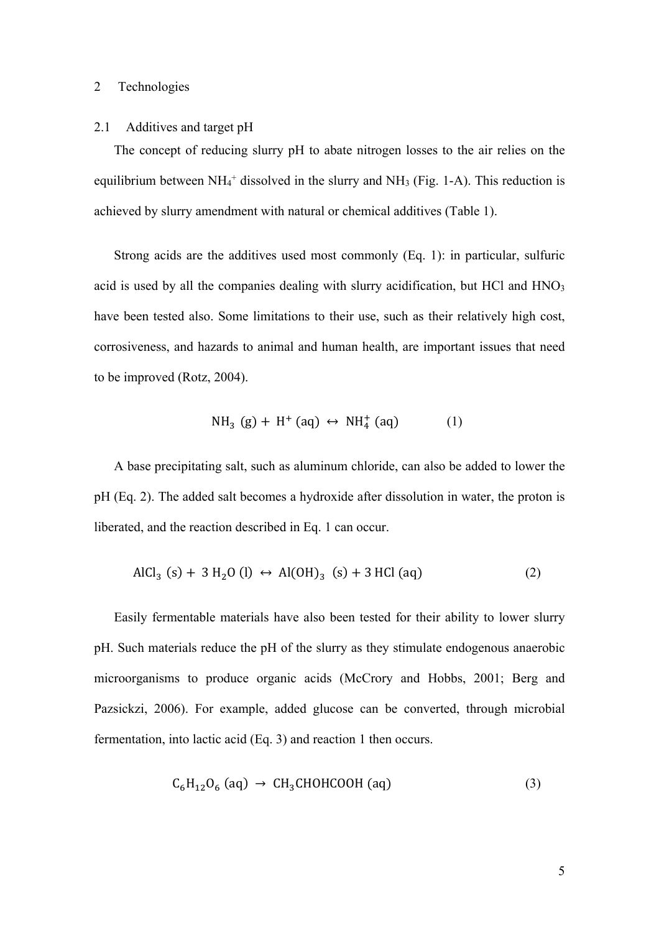### 2 Technologies

#### 2.1 Additives and target pH

The concept of reducing slurry pH to abate nitrogen losses to the air relies on the equilibrium between  $NH_4^+$  dissolved in the slurry and  $NH_3$  (Fig. 1-A). This reduction is achieved by slurry amendment with natural or chemical additives (Table 1).

Strong acids are the additives used most commonly (Eq. 1): in particular, sulfuric acid is used by all the companies dealing with slurry acidification, but HCl and  $HNO<sub>3</sub>$ have been tested also. Some limitations to their use, such as their relatively high cost, corrosiveness, and hazards to animal and human health, are important issues that need to be improved (Rotz, 2004).

$$
NH_3(g) + H^+(aq) \leftrightarrow NH_4^+(aq) \tag{1}
$$

A base precipitating salt, such as aluminum chloride, can also be added to lower the pH (Eq. 2). The added salt becomes a hydroxide after dissolution in water, the proton is liberated, and the reaction described in Eq. 1 can occur.

$$
AlCl_3 (s) + 3 H_2 O (l) \leftrightarrow Al(OH)_3 (s) + 3 HCl (aq)
$$
 (2)

Easily fermentable materials have also been tested for their ability to lower slurry pH. Such materials reduce the pH of the slurry as they stimulate endogenous anaerobic microorganisms to produce organic acids (McCrory and Hobbs, 2001; Berg and Pazsickzi, 2006). For example, added glucose can be converted, through microbial fermentation, into lactic acid (Eq. 3) and reaction 1 then occurs.

$$
C_6H_{12}O_6\ (aq) \rightarrow CH_3CHOHCOOH\ (aq)
$$
 (3)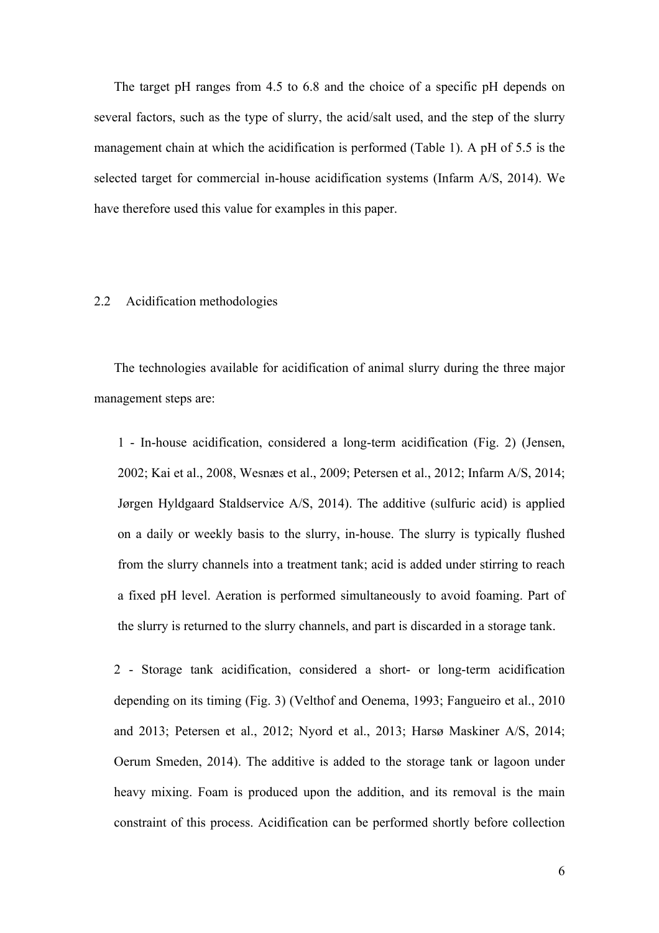The target pH ranges from 4.5 to 6.8 and the choice of a specific pH depends on several factors, such as the type of slurry, the acid/salt used, and the step of the slurry management chain at which the acidification is performed (Table 1). A pH of 5.5 is the selected target for commercial in-house acidification systems (Infarm A/S, 2014). We have therefore used this value for examples in this paper.

### 2.2 Acidification methodologies

The technologies available for acidification of animal slurry during the three major management steps are:

1 - In-house acidification, considered a long-term acidification (Fig. 2) (Jensen, 2002; Kai et al., 2008, Wesnæs et al., 2009; Petersen et al., 2012; Infarm A/S, 2014; Jørgen Hyldgaard Staldservice A/S, 2014). The additive (sulfuric acid) is applied on a daily or weekly basis to the slurry, in-house. The slurry is typically flushed from the slurry channels into a treatment tank; acid is added under stirring to reach a fixed pH level. Aeration is performed simultaneously to avoid foaming. Part of the slurry is returned to the slurry channels, and part is discarded in a storage tank.

2 - Storage tank acidification, considered a short- or long-term acidification depending on its timing (Fig. 3) (Velthof and Oenema, 1993; Fangueiro et al., 2010 and 2013; Petersen et al., 2012; Nyord et al., 2013; Harsø Maskiner A/S, 2014; Oerum Smeden, 2014). The additive is added to the storage tank or lagoon under heavy mixing. Foam is produced upon the addition, and its removal is the main constraint of this process. Acidification can be performed shortly before collection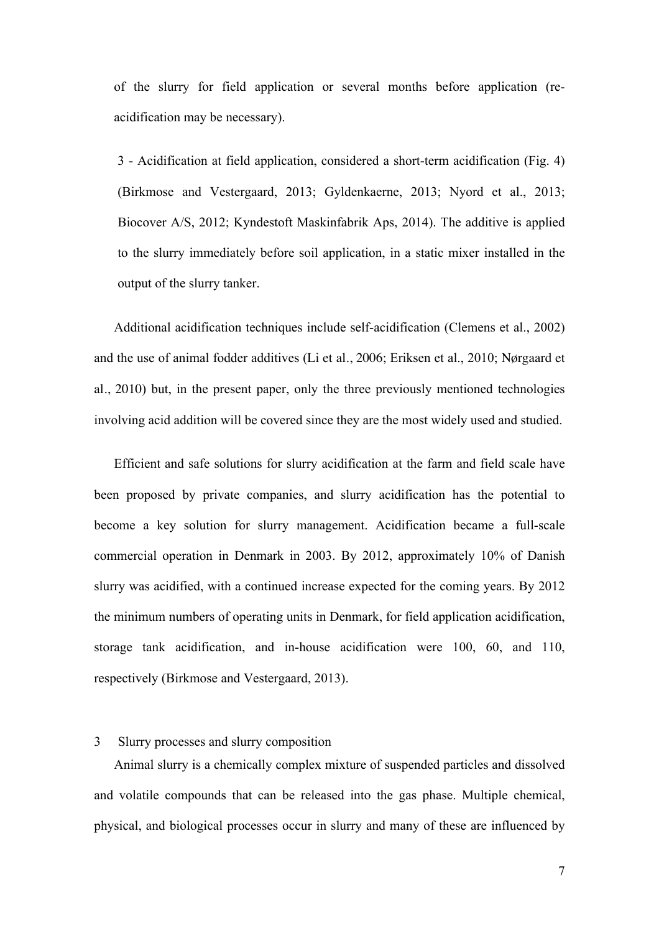of the slurry for field application or several months before application (reacidification may be necessary).

3 - Acidification at field application, considered a short-term acidification (Fig. 4) (Birkmose and Vestergaard, 2013; Gyldenkaerne, 2013; Nyord et al., 2013; Biocover A/S, 2012; Kyndestoft Maskinfabrik Aps, 2014). The additive is applied to the slurry immediately before soil application, in a static mixer installed in the output of the slurry tanker.

Additional acidification techniques include self-acidification (Clemens et al., 2002) and the use of animal fodder additives (Li et al., 2006; Eriksen et al., 2010; Nørgaard et al., 2010) but, in the present paper, only the three previously mentioned technologies involving acid addition will be covered since they are the most widely used and studied.

Efficient and safe solutions for slurry acidification at the farm and field scale have been proposed by private companies, and slurry acidification has the potential to become a key solution for slurry management. Acidification became a full-scale commercial operation in Denmark in 2003. By 2012, approximately 10% of Danish slurry was acidified, with a continued increase expected for the coming years. By 2012 the minimum numbers of operating units in Denmark, for field application acidification, storage tank acidification, and in-house acidification were 100, 60, and 110, respectively (Birkmose and Vestergaard, 2013).

### 3 Slurry processes and slurry composition

Animal slurry is a chemically complex mixture of suspended particles and dissolved and volatile compounds that can be released into the gas phase. Multiple chemical, physical, and biological processes occur in slurry and many of these are influenced by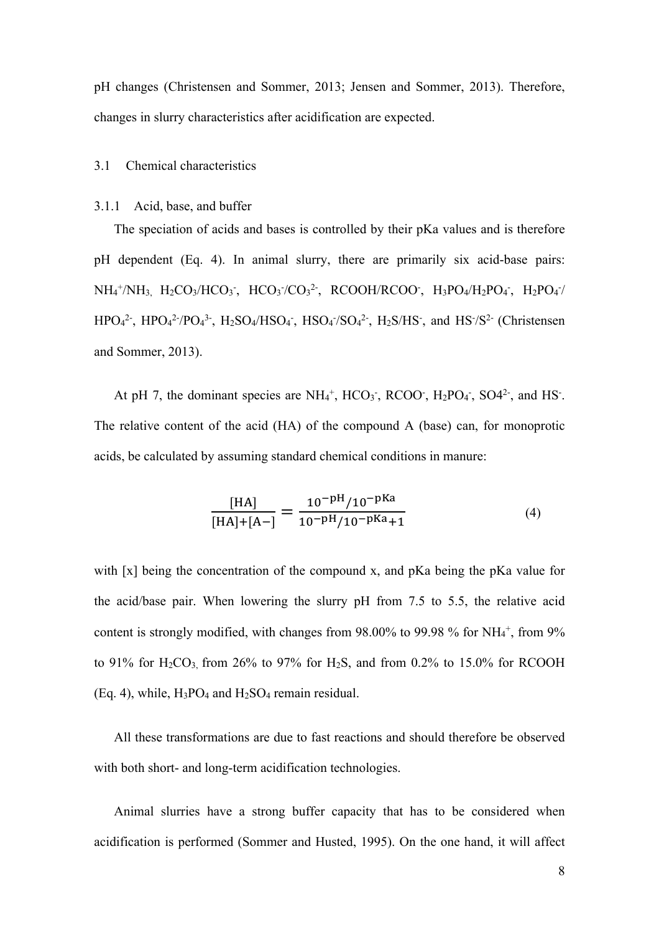pH changes (Christensen and Sommer, 2013; Jensen and Sommer, 2013). Therefore, changes in slurry characteristics after acidification are expected.

# 3.1 Chemical characteristics

### 3.1.1 Acid, base, and buffer

The speciation of acids and bases is controlled by their pKa values and is therefore pH dependent (Eq. 4). In animal slurry, there are primarily six acid-base pairs:  $NH_4^+/NH_3$ ,  $H_2CO_3/HCO_3$ ,  $HCO_3/CO_3^2$ ,  $RCOOH/RCOO$ ,  $H_3PO_4/H_2PO_4$ ,  $H_2PO_4$ /  $HPO<sub>4</sub><sup>2</sup>$ ,  $HPO<sub>4</sub><sup>2</sup>$ ,  $PO<sub>4</sub><sup>3</sup>$ ,  $H<sub>2</sub>SO<sub>4</sub>/HSO<sub>4</sub>$ ,  $HSO<sub>4</sub>/SO<sub>4</sub><sup>2</sup>$ ,  $H<sub>2</sub>S/HS<sub>2</sub>$ , and  $HS<sub>2</sub><sup>2</sup>$  (Christensen and Sommer, 2013).

At pH 7, the dominant species are  $NH_4^+$ , HCO<sub>3</sub>, RCOO, H<sub>2</sub>PO<sub>4</sub>, SO4<sup>2</sup>, and HS<sup>-</sup>. The relative content of the acid (HA) of the compound A (base) can, for monoprotic acids, be calculated by assuming standard chemical conditions in manure:

$$
\frac{\text{[HA]}}{\text{[HA]} + \text{[A--]}} = \frac{10^{-\text{pH}} / 10^{-\text{pKa}}}{10^{-\text{pH}} / 10^{-\text{pKa}} + 1}
$$
(4)

with [x] being the concentration of the compound x, and pKa being the pKa value for the acid/base pair. When lowering the slurry pH from 7.5 to 5.5, the relative acid content is strongly modified, with changes from  $98.00\%$  to  $99.98\%$  for NH<sub>4</sub><sup>+</sup>, from  $9\%$ to 91% for  $H_2CO_3$  from 26% to 97% for  $H_2S$ , and from 0.2% to 15.0% for RCOOH  $(Eq. 4)$ , while,  $H_3PO_4$  and  $H_2SO_4$  remain residual.

All these transformations are due to fast reactions and should therefore be observed with both short- and long-term acidification technologies.

Animal slurries have a strong buffer capacity that has to be considered when acidification is performed (Sommer and Husted, 1995). On the one hand, it will affect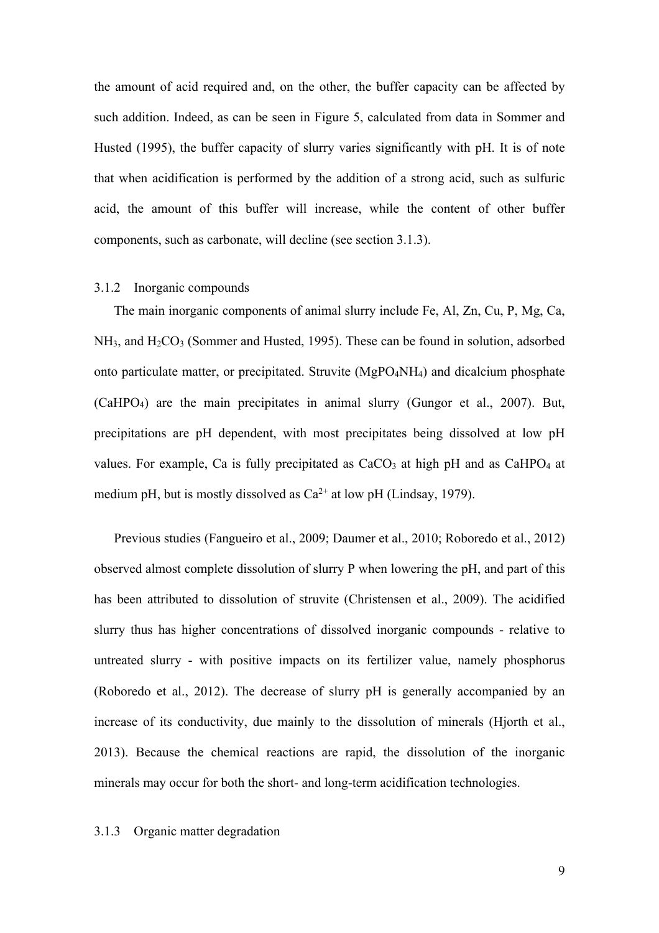the amount of acid required and, on the other, the buffer capacity can be affected by such addition. Indeed, as can be seen in Figure 5, calculated from data in Sommer and Husted (1995), the buffer capacity of slurry varies significantly with pH. It is of note that when acidification is performed by the addition of a strong acid, such as sulfuric acid, the amount of this buffer will increase, while the content of other buffer components, such as carbonate, will decline (see section 3.1.3).

# 3.1.2 Inorganic compounds

The main inorganic components of animal slurry include Fe, Al, Zn, Cu, P, Mg, Ca,  $NH<sub>3</sub>$ , and  $H<sub>2</sub>CO<sub>3</sub>$  (Sommer and Husted, 1995). These can be found in solution, adsorbed onto particulate matter, or precipitated. Struvite (MgPO4NH4) and dicalcium phosphate (CaHPO4) are the main precipitates in animal slurry (Gungor et al., 2007). But, precipitations are pH dependent, with most precipitates being dissolved at low pH values. For example, Ca is fully precipitated as  $CaCO<sub>3</sub>$  at high pH and as CaHPO<sub>4</sub> at medium pH, but is mostly dissolved as  $Ca^{2+}$  at low pH (Lindsay, 1979).

Previous studies (Fangueiro et al., 2009; Daumer et al., 2010; Roboredo et al., 2012) observed almost complete dissolution of slurry P when lowering the pH, and part of this has been attributed to dissolution of struvite (Christensen et al., 2009). The acidified slurry thus has higher concentrations of dissolved inorganic compounds - relative to untreated slurry - with positive impacts on its fertilizer value, namely phosphorus (Roboredo et al., 2012). The decrease of slurry pH is generally accompanied by an increase of its conductivity, due mainly to the dissolution of minerals (Hjorth et al., 2013). Because the chemical reactions are rapid, the dissolution of the inorganic minerals may occur for both the short- and long-term acidification technologies.

# 3.1.3 Organic matter degradation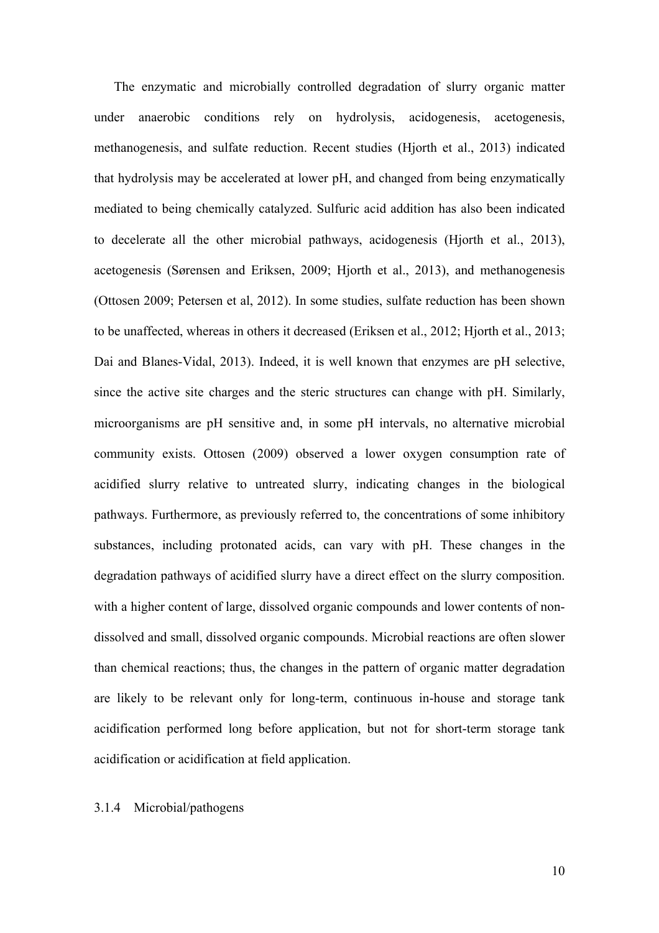The enzymatic and microbially controlled degradation of slurry organic matter under anaerobic conditions rely on hydrolysis, acidogenesis, acetogenesis, methanogenesis, and sulfate reduction. Recent studies (Hjorth et al., 2013) indicated that hydrolysis may be accelerated at lower pH, and changed from being enzymatically mediated to being chemically catalyzed. Sulfuric acid addition has also been indicated to decelerate all the other microbial pathways, acidogenesis (Hjorth et al., 2013), acetogenesis (Sørensen and Eriksen, 2009; Hjorth et al., 2013), and methanogenesis (Ottosen 2009; Petersen et al, 2012). In some studies, sulfate reduction has been shown to be unaffected, whereas in others it decreased (Eriksen et al., 2012; Hjorth et al., 2013; Dai and Blanes-Vidal, 2013). Indeed, it is well known that enzymes are pH selective, since the active site charges and the steric structures can change with pH. Similarly, microorganisms are pH sensitive and, in some pH intervals, no alternative microbial community exists. Ottosen (2009) observed a lower oxygen consumption rate of acidified slurry relative to untreated slurry, indicating changes in the biological pathways. Furthermore, as previously referred to, the concentrations of some inhibitory substances, including protonated acids, can vary with pH. These changes in the degradation pathways of acidified slurry have a direct effect on the slurry composition. with a higher content of large, dissolved organic compounds and lower contents of nondissolved and small, dissolved organic compounds. Microbial reactions are often slower than chemical reactions; thus, the changes in the pattern of organic matter degradation are likely to be relevant only for long-term, continuous in-house and storage tank acidification performed long before application, but not for short-term storage tank acidification or acidification at field application.

# 3.1.4 Microbial/pathogens

10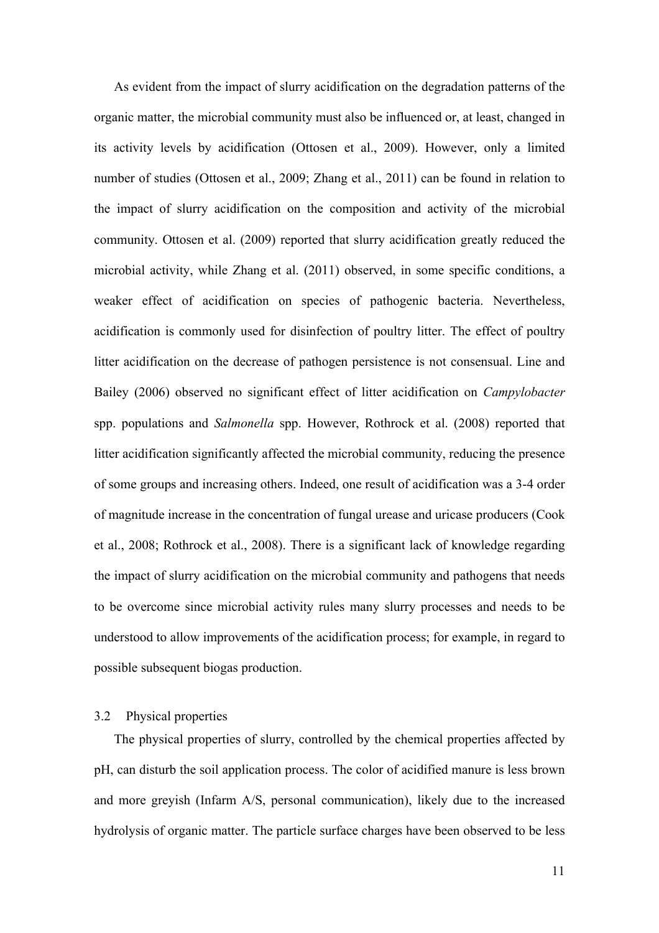As evident from the impact of slurry acidification on the degradation patterns of the organic matter, the microbial community must also be influenced or, at least, changed in its activity levels by acidification (Ottosen et al., 2009). However, only a limited number of studies (Ottosen et al., 2009; Zhang et al., 2011) can be found in relation to the impact of slurry acidification on the composition and activity of the microbial community. Ottosen et al. (2009) reported that slurry acidification greatly reduced the microbial activity, while Zhang et al. (2011) observed, in some specific conditions, a weaker effect of acidification on species of pathogenic bacteria. Nevertheless, acidification is commonly used for disinfection of poultry litter. The effect of poultry litter acidification on the decrease of pathogen persistence is not consensual. Line and Bailey (2006) observed no significant effect of litter acidification on *Campylobacter* spp. populations and *Salmonella* spp. However, Rothrock et al. (2008) reported that litter acidification significantly affected the microbial community, reducing the presence of some groups and increasing others. Indeed, one result of acidification was a 3-4 order of magnitude increase in the concentration of fungal urease and uricase producers (Cook et al., 2008; Rothrock et al., 2008). There is a significant lack of knowledge regarding the impact of slurry acidification on the microbial community and pathogens that needs to be overcome since microbial activity rules many slurry processes and needs to be understood to allow improvements of the acidification process; for example, in regard to possible subsequent biogas production.

## 3.2 Physical properties

The physical properties of slurry, controlled by the chemical properties affected by pH, can disturb the soil application process. The color of acidified manure is less brown and more greyish (Infarm A/S, personal communication), likely due to the increased hydrolysis of organic matter. The particle surface charges have been observed to be less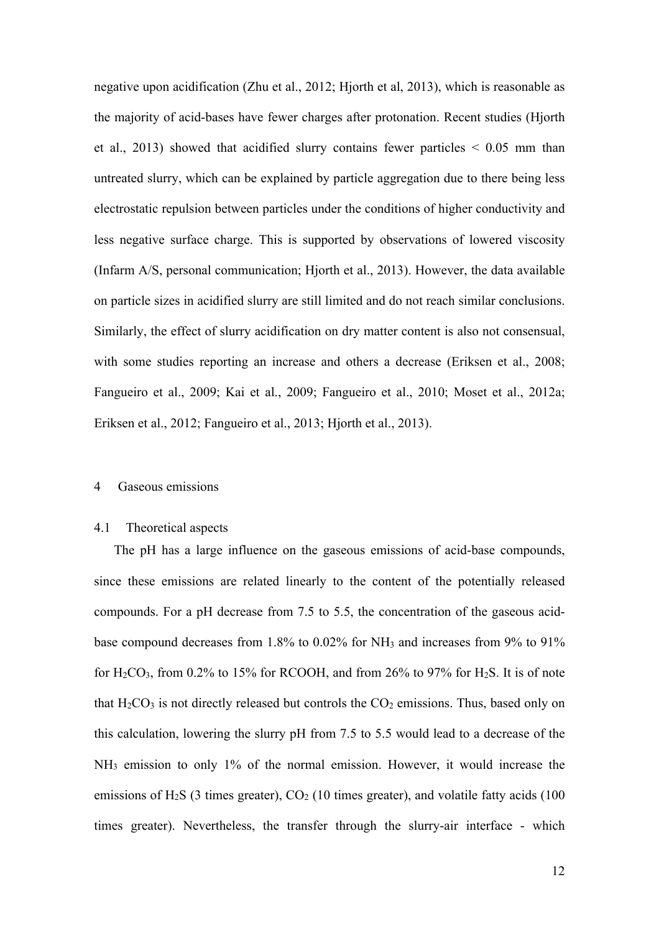negative upon acidification (Zhu et al., 2012; Hjorth et al, 2013), which is reasonable as the majority of acid-bases have fewer charges after protonation. Recent studies (Hjorth et al., 2013) showed that acidified slurry contains fewer particles  $\leq 0.05$  mm than untreated slurry, which can be explained by particle aggregation due to there being less electrostatic repulsion between particles under the conditions of higher conductivity and less negative surface charge. This is supported by observations of lowered viscosity (Infarm A/S, personal communication; Hjorth et al., 2013). However, the data available on particle sizes in acidified slurry are still limited and do not reach similar conclusions. Similarly, the effect of slurry acidification on dry matter content is also not consensual, with some studies reporting an increase and others a decrease (Eriksen et al., 2008; Fangueiro et al., 2009; Kai et al., 2009; Fangueiro et al., 2010; Moset et al., 2012a; Eriksen et al., 2012; Fangueiro et al., 2013; Hjorth et al., 2013).

#### 4 Gaseous emissions

## 4.1 Theoretical aspects

The pH has a large influence on the gaseous emissions of acid-base compounds, since these emissions are related linearly to the content of the potentially released compounds. For a pH decrease from 7.5 to 5.5, the concentration of the gaseous acidbase compound decreases from 1.8% to 0.02% for NH3 and increases from 9% to 91% for  $H_2CO_3$ , from 0.2% to 15% for RCOOH, and from 26% to 97% for  $H_2S$ . It is of note that  $H_2CO_3$  is not directly released but controls the  $CO_2$  emissions. Thus, based only on this calculation, lowering the slurry pH from 7.5 to 5.5 would lead to a decrease of the NH3 emission to only 1% of the normal emission. However, it would increase the emissions of H<sub>2</sub>S (3 times greater),  $CO<sub>2</sub>$  (10 times greater), and volatile fatty acids (100 times greater). Nevertheless, the transfer through the slurry-air interface - which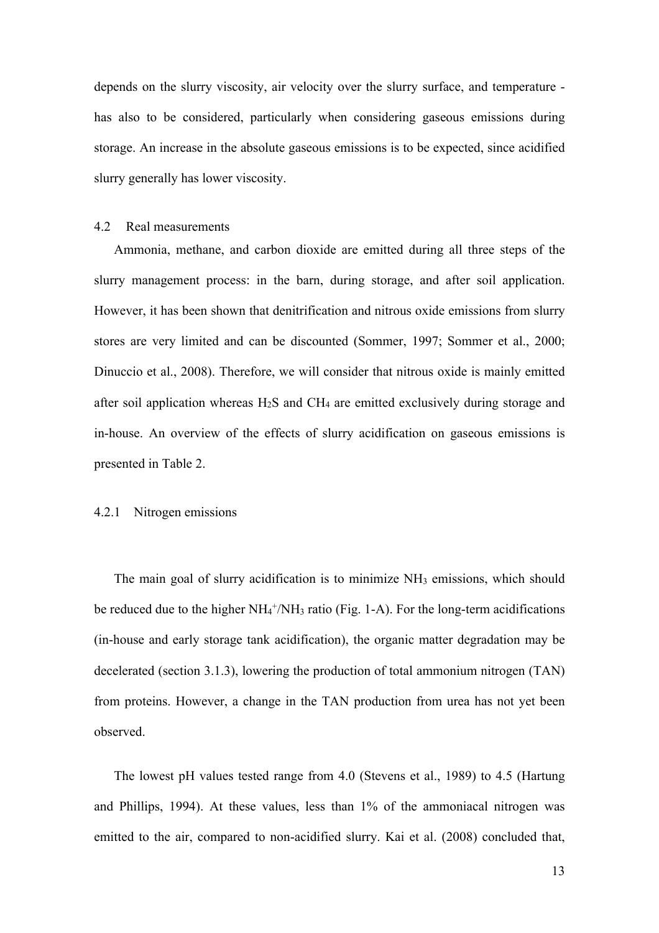depends on the slurry viscosity, air velocity over the slurry surface, and temperature has also to be considered, particularly when considering gaseous emissions during storage. An increase in the absolute gaseous emissions is to be expected, since acidified slurry generally has lower viscosity.

#### 4.2 Real measurements

Ammonia, methane, and carbon dioxide are emitted during all three steps of the slurry management process: in the barn, during storage, and after soil application. However, it has been shown that denitrification and nitrous oxide emissions from slurry stores are very limited and can be discounted (Sommer, 1997; Sommer et al., 2000; Dinuccio et al., 2008). Therefore, we will consider that nitrous oxide is mainly emitted after soil application whereas  $H_2S$  and  $CH_4$  are emitted exclusively during storage and in-house. An overview of the effects of slurry acidification on gaseous emissions is presented in Table 2.

#### 4.2.1 Nitrogen emissions

The main goal of slurry acidification is to minimize NH<sub>3</sub> emissions, which should be reduced due to the higher NH<sub>4</sub><sup>+</sup>/NH<sub>3</sub> ratio (Fig. 1-A). For the long-term acidifications (in-house and early storage tank acidification), the organic matter degradation may be decelerated (section 3.1.3), lowering the production of total ammonium nitrogen (TAN) from proteins. However, a change in the TAN production from urea has not yet been observed.

The lowest pH values tested range from 4.0 (Stevens et al., 1989) to 4.5 (Hartung and Phillips, 1994). At these values, less than 1% of the ammoniacal nitrogen was emitted to the air, compared to non-acidified slurry. Kai et al. (2008) concluded that,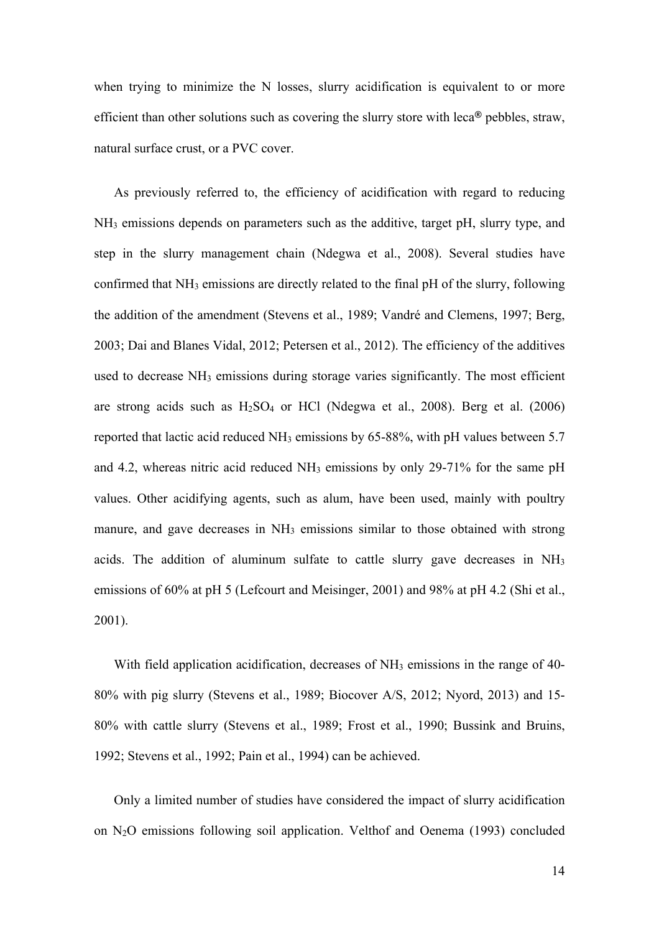when trying to minimize the N losses, slurry acidification is equivalent to or more efficient than other solutions such as covering the slurry store with leca**®** pebbles, straw, natural surface crust, or a PVC cover.

As previously referred to, the efficiency of acidification with regard to reducing NH3 emissions depends on parameters such as the additive, target pH, slurry type, and step in the slurry management chain (Ndegwa et al., 2008). Several studies have confirmed that NH3 emissions are directly related to the final pH of the slurry, following the addition of the amendment (Stevens et al., 1989; Vandré and Clemens, 1997; Berg, 2003; Dai and Blanes Vidal, 2012; Petersen et al., 2012). The efficiency of the additives used to decrease NH<sub>3</sub> emissions during storage varies significantly. The most efficient are strong acids such as  $H_2SO_4$  or HCl (Ndegwa et al., 2008). Berg et al. (2006) reported that lactic acid reduced  $NH_3$  emissions by 65-88%, with pH values between 5.7 and 4.2, whereas nitric acid reduced NH3 emissions by only 29-71% for the same pH values. Other acidifying agents, such as alum, have been used, mainly with poultry manure, and gave decreases in NH<sub>3</sub> emissions similar to those obtained with strong acids. The addition of aluminum sulfate to cattle slurry gave decreases in  $NH<sub>3</sub>$ emissions of 60% at pH 5 (Lefcourt and Meisinger, 2001) and 98% at pH 4.2 (Shi et al., 2001).

With field application acidification, decreases of  $NH<sub>3</sub>$  emissions in the range of 40-80% with pig slurry (Stevens et al., 1989; Biocover A/S, 2012; Nyord, 2013) and 15- 80% with cattle slurry (Stevens et al., 1989; Frost et al., 1990; Bussink and Bruins, 1992; Stevens et al., 1992; Pain et al., 1994) can be achieved.

Only a limited number of studies have considered the impact of slurry acidification on  $N_2O$  emissions following soil application. Velthof and Oenema (1993) concluded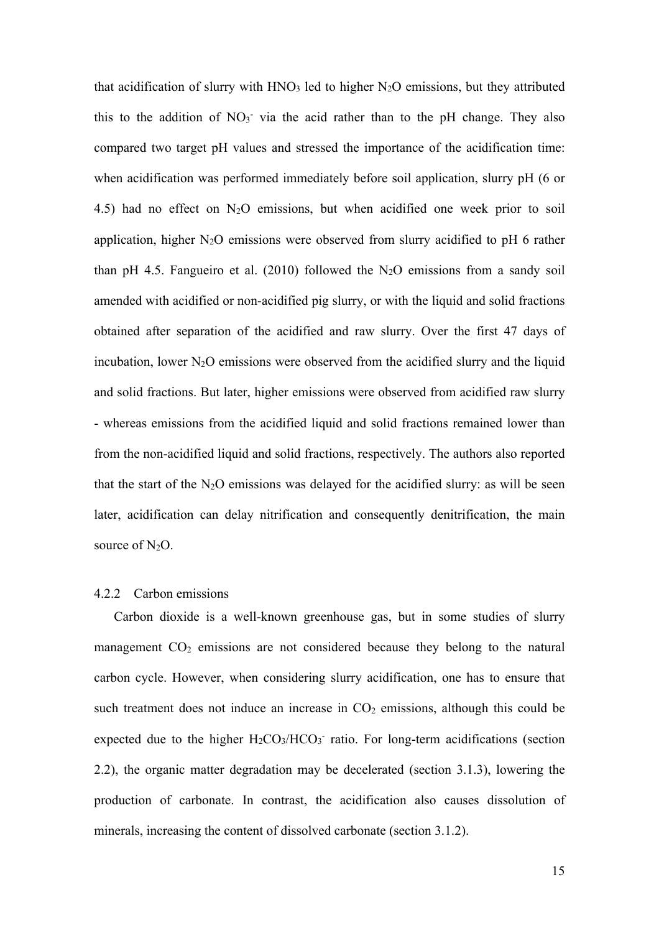that acidification of slurry with  $HNO<sub>3</sub>$  led to higher  $N<sub>2</sub>O$  emissions, but they attributed this to the addition of  $NO<sub>3</sub>$  via the acid rather than to the pH change. They also compared two target pH values and stressed the importance of the acidification time: when acidification was performed immediately before soil application, slurry pH (6 or 4.5) had no effect on  $N_2O$  emissions, but when acidified one week prior to soil application, higher  $N_2O$  emissions were observed from slurry acidified to pH 6 rather than pH 4.5. Fangueiro et al. (2010) followed the  $N_2O$  emissions from a sandy soil amended with acidified or non-acidified pig slurry, or with the liquid and solid fractions obtained after separation of the acidified and raw slurry. Over the first 47 days of incubation, lower  $N_2O$  emissions were observed from the acidified slurry and the liquid and solid fractions. But later, higher emissions were observed from acidified raw slurry - whereas emissions from the acidified liquid and solid fractions remained lower than from the non-acidified liquid and solid fractions, respectively. The authors also reported that the start of the  $N_2O$  emissions was delayed for the acidified slurry: as will be seen later, acidification can delay nitrification and consequently denitrification, the main source of  $N_2O$ .

#### 4.2.2 Carbon emissions

Carbon dioxide is a well-known greenhouse gas, but in some studies of slurry management  $CO<sub>2</sub>$  emissions are not considered because they belong to the natural carbon cycle. However, when considering slurry acidification, one has to ensure that such treatment does not induce an increase in  $CO<sub>2</sub>$  emissions, although this could be expected due to the higher  $H_2CO_3/HCO_3$  ratio. For long-term acidifications (section 2.2), the organic matter degradation may be decelerated (section 3.1.3), lowering the production of carbonate. In contrast, the acidification also causes dissolution of minerals, increasing the content of dissolved carbonate (section 3.1.2).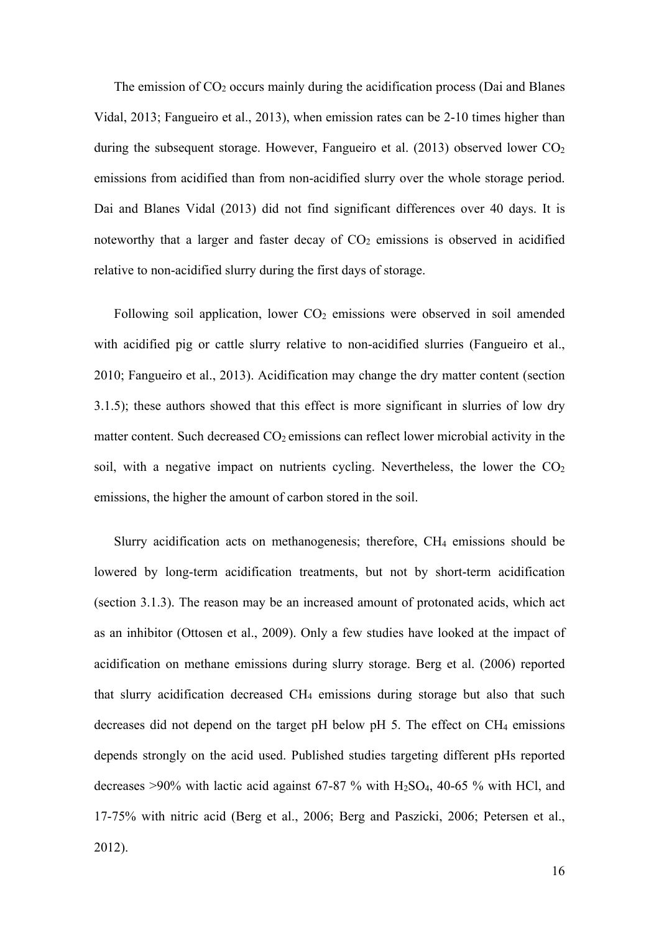The emission of  $CO<sub>2</sub>$  occurs mainly during the acidification process (Dai and Blanes Vidal, 2013; Fangueiro et al., 2013), when emission rates can be 2-10 times higher than during the subsequent storage. However, Fangueiro et al. (2013) observed lower  $CO<sub>2</sub>$ emissions from acidified than from non-acidified slurry over the whole storage period. Dai and Blanes Vidal (2013) did not find significant differences over 40 days. It is noteworthy that a larger and faster decay of  $CO<sub>2</sub>$  emissions is observed in acidified relative to non-acidified slurry during the first days of storage.

Following soil application, lower  $CO<sub>2</sub>$  emissions were observed in soil amended with acidified pig or cattle slurry relative to non-acidified slurries (Fangueiro et al., 2010; Fangueiro et al., 2013). Acidification may change the dry matter content (section 3.1.5); these authors showed that this effect is more significant in slurries of low dry matter content. Such decreased  $CO<sub>2</sub>$  emissions can reflect lower microbial activity in the soil, with a negative impact on nutrients cycling. Nevertheless, the lower the  $CO<sub>2</sub>$ emissions, the higher the amount of carbon stored in the soil.

Slurry acidification acts on methanogenesis; therefore, CH4 emissions should be lowered by long-term acidification treatments, but not by short-term acidification (section 3.1.3). The reason may be an increased amount of protonated acids, which act as an inhibitor (Ottosen et al., 2009). Only a few studies have looked at the impact of acidification on methane emissions during slurry storage. Berg et al. (2006) reported that slurry acidification decreased CH4 emissions during storage but also that such decreases did not depend on the target pH below pH 5. The effect on  $CH_4$  emissions depends strongly on the acid used. Published studies targeting different pHs reported decreases  $>90\%$  with lactic acid against 67-87 % with H<sub>2</sub>SO<sub>4</sub>, 40-65 % with HCl, and 17-75% with nitric acid (Berg et al., 2006; Berg and Paszicki, 2006; Petersen et al., 2012).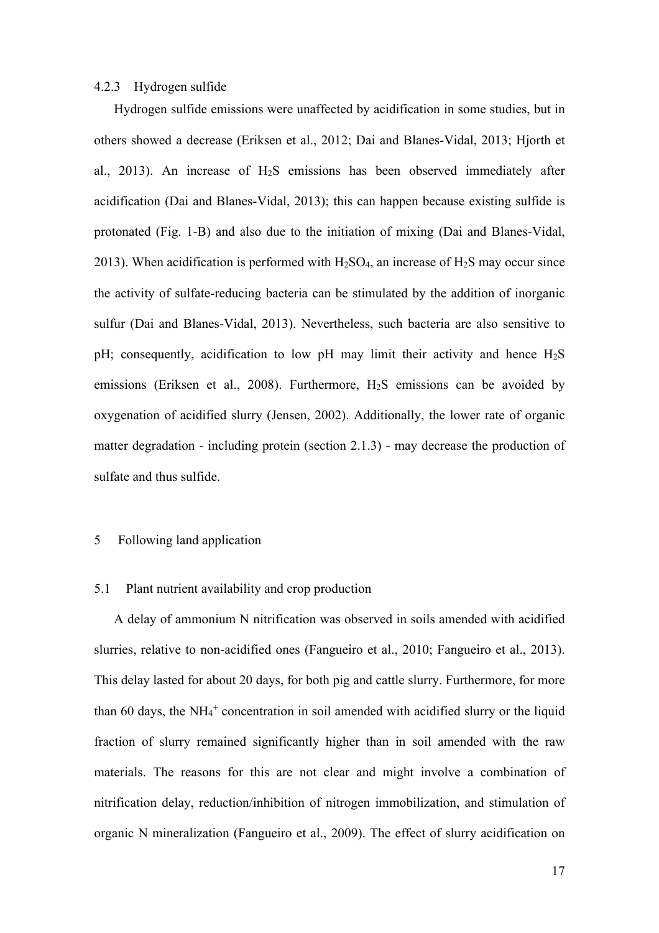#### 4.2.3 Hydrogen sulfide

Hydrogen sulfide emissions were unaffected by acidification in some studies, but in others showed a decrease (Eriksen et al., 2012; Dai and Blanes-Vidal, 2013; Hjorth et al., 2013). An increase of  $H_2S$  emissions has been observed immediately after acidification (Dai and Blanes-Vidal, 2013); this can happen because existing sulfide is protonated (Fig. 1-B) and also due to the initiation of mixing (Dai and Blanes-Vidal, 2013). When acidification is performed with  $H_2SO_4$ , an increase of  $H_2S$  may occur since the activity of sulfate-reducing bacteria can be stimulated by the addition of inorganic sulfur (Dai and Blanes-Vidal, 2013). Nevertheless, such bacteria are also sensitive to pH; consequently, acidification to low pH may limit their activity and hence  $H_2S$ emissions (Eriksen et al., 2008). Furthermore,  $H_2S$  emissions can be avoided by oxygenation of acidified slurry (Jensen, 2002). Additionally, the lower rate of organic matter degradation - including protein (section 2.1.3) - may decrease the production of sulfate and thus sulfide.

### 5 Following land application

## 5.1 Plant nutrient availability and crop production

A delay of ammonium N nitrification was observed in soils amended with acidified slurries, relative to non-acidified ones (Fangueiro et al., 2010; Fangueiro et al., 2013). This delay lasted for about 20 days, for both pig and cattle slurry. Furthermore, for more than 60 days, the  $NH_4^+$  concentration in soil amended with acidified slurry or the liquid fraction of slurry remained significantly higher than in soil amended with the raw materials. The reasons for this are not clear and might involve a combination of nitrification delay, reduction/inhibition of nitrogen immobilization, and stimulation of organic N mineralization (Fangueiro et al., 2009). The effect of slurry acidification on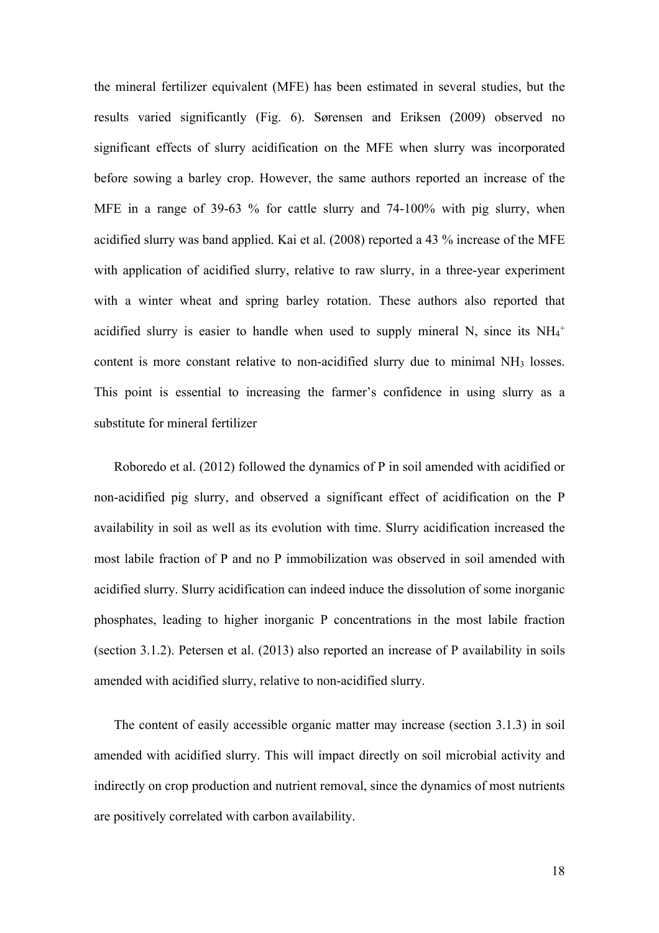the mineral fertilizer equivalent (MFE) has been estimated in several studies, but the results varied significantly (Fig. 6). Sørensen and Eriksen (2009) observed no significant effects of slurry acidification on the MFE when slurry was incorporated before sowing a barley crop. However, the same authors reported an increase of the MFE in a range of 39-63 % for cattle slurry and 74-100% with pig slurry, when acidified slurry was band applied. Kai et al. (2008) reported a 43 % increase of the MFE with application of acidified slurry, relative to raw slurry, in a three-year experiment with a winter wheat and spring barley rotation. These authors also reported that acidified slurry is easier to handle when used to supply mineral N, since its  $NH_4^+$ content is more constant relative to non-acidified slurry due to minimal NH3 losses. This point is essential to increasing the farmer's confidence in using slurry as a substitute for mineral fertilizer

Roboredo et al. (2012) followed the dynamics of P in soil amended with acidified or non-acidified pig slurry, and observed a significant effect of acidification on the P availability in soil as well as its evolution with time. Slurry acidification increased the most labile fraction of P and no P immobilization was observed in soil amended with acidified slurry. Slurry acidification can indeed induce the dissolution of some inorganic phosphates, leading to higher inorganic P concentrations in the most labile fraction (section 3.1.2). Petersen et al. (2013) also reported an increase of P availability in soils amended with acidified slurry, relative to non-acidified slurry.

The content of easily accessible organic matter may increase (section 3.1.3) in soil amended with acidified slurry. This will impact directly on soil microbial activity and indirectly on crop production and nutrient removal, since the dynamics of most nutrients are positively correlated with carbon availability.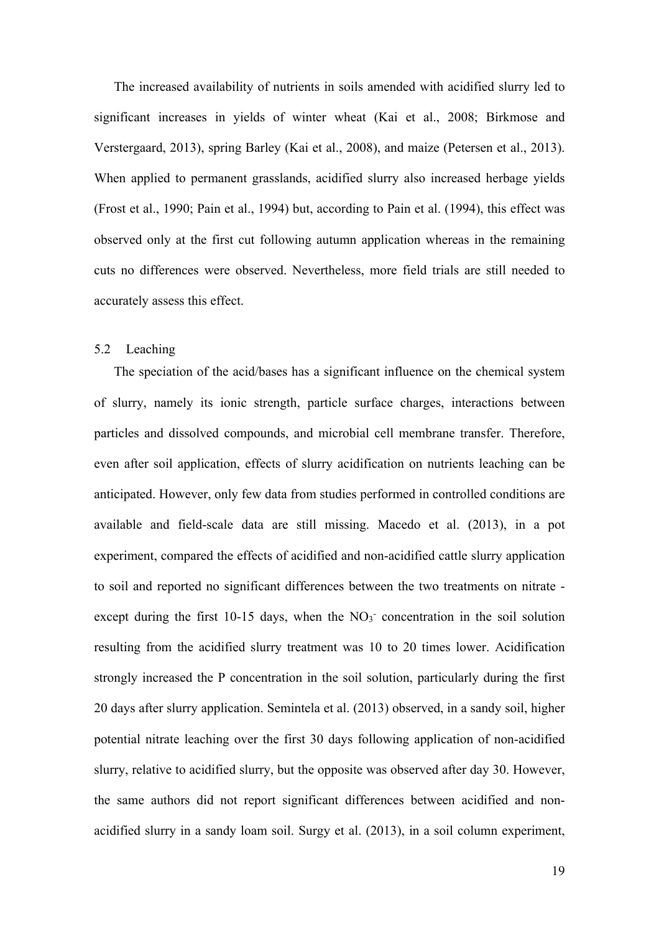The increased availability of nutrients in soils amended with acidified slurry led to significant increases in yields of winter wheat (Kai et al., 2008; Birkmose and Verstergaard, 2013), spring Barley (Kai et al., 2008), and maize (Petersen et al., 2013). When applied to permanent grasslands, acidified slurry also increased herbage yields (Frost et al., 1990; Pain et al., 1994) but, according to Pain et al. (1994), this effect was observed only at the first cut following autumn application whereas in the remaining cuts no differences were observed. Nevertheless, more field trials are still needed to accurately assess this effect.

# 5.2 Leaching

The speciation of the acid/bases has a significant influence on the chemical system of slurry, namely its ionic strength, particle surface charges, interactions between particles and dissolved compounds, and microbial cell membrane transfer. Therefore, even after soil application, effects of slurry acidification on nutrients leaching can be anticipated. However, only few data from studies performed in controlled conditions are available and field-scale data are still missing. Macedo et al. (2013), in a pot experiment, compared the effects of acidified and non-acidified cattle slurry application to soil and reported no significant differences between the two treatments on nitrate except during the first  $10-15$  days, when the NO<sub>3</sub> concentration in the soil solution resulting from the acidified slurry treatment was 10 to 20 times lower. Acidification strongly increased the P concentration in the soil solution, particularly during the first 20 days after slurry application. Semintela et al. (2013) observed, in a sandy soil, higher potential nitrate leaching over the first 30 days following application of non-acidified slurry, relative to acidified slurry, but the opposite was observed after day 30. However, the same authors did not report significant differences between acidified and nonacidified slurry in a sandy loam soil. Surgy et al. (2013), in a soil column experiment,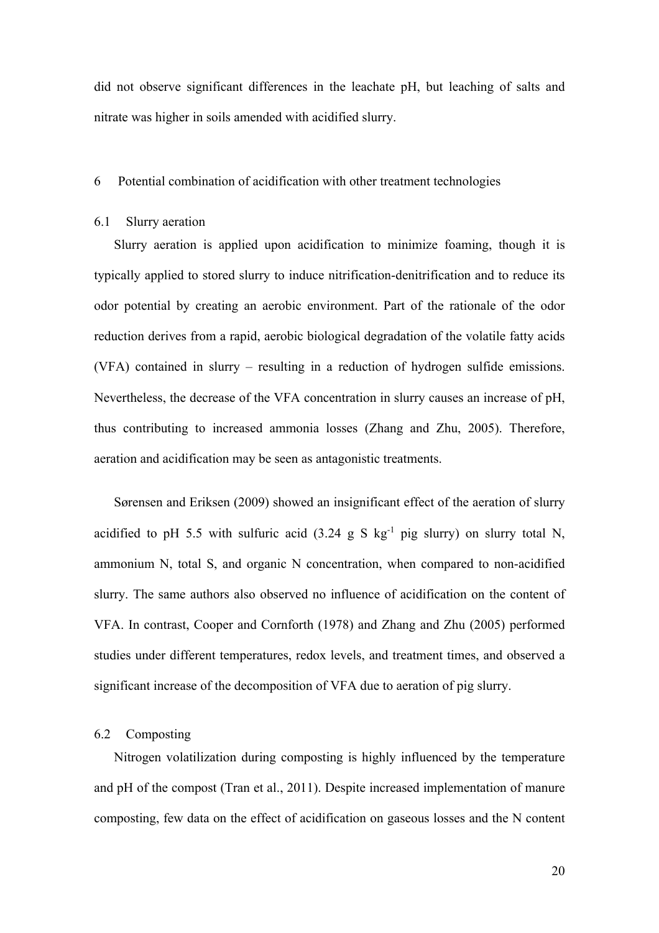did not observe significant differences in the leachate pH, but leaching of salts and nitrate was higher in soils amended with acidified slurry.

### 6 Potential combination of acidification with other treatment technologies

### 6.1 Slurry aeration

Slurry aeration is applied upon acidification to minimize foaming, though it is typically applied to stored slurry to induce nitrification-denitrification and to reduce its odor potential by creating an aerobic environment. Part of the rationale of the odor reduction derives from a rapid, aerobic biological degradation of the volatile fatty acids (VFA) contained in slurry – resulting in a reduction of hydrogen sulfide emissions. Nevertheless, the decrease of the VFA concentration in slurry causes an increase of pH, thus contributing to increased ammonia losses (Zhang and Zhu, 2005). Therefore, aeration and acidification may be seen as antagonistic treatments.

Sørensen and Eriksen (2009) showed an insignificant effect of the aeration of slurry acidified to pH 5.5 with sulfuric acid  $(3.24 \text{ g S kg}^{-1}$  pig slurry) on slurry total N, ammonium N, total S, and organic N concentration, when compared to non-acidified slurry. The same authors also observed no influence of acidification on the content of VFA. In contrast, Cooper and Cornforth (1978) and Zhang and Zhu (2005) performed studies under different temperatures, redox levels, and treatment times, and observed a significant increase of the decomposition of VFA due to aeration of pig slurry.

#### 6.2 Composting

Nitrogen volatilization during composting is highly influenced by the temperature and pH of the compost (Tran et al., 2011). Despite increased implementation of manure composting, few data on the effect of acidification on gaseous losses and the N content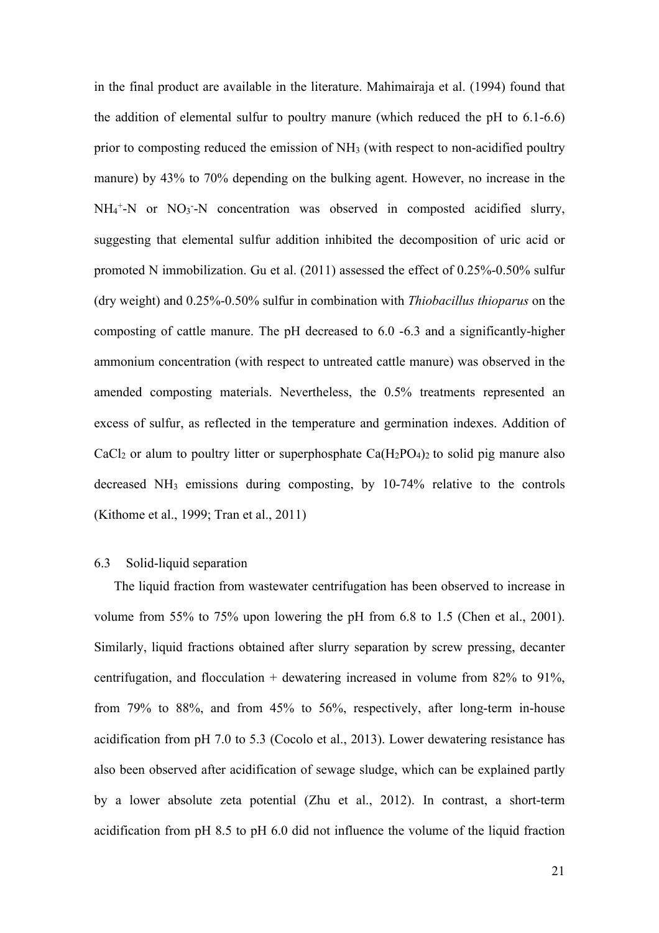in the final product are available in the literature. Mahimairaja et al. (1994) found that the addition of elemental sulfur to poultry manure (which reduced the pH to 6.1-6.6) prior to composting reduced the emission of NH<sub>3</sub> (with respect to non-acidified poultry manure) by 43% to 70% depending on the bulking agent. However, no increase in the  $NH_4^+$ -N or NO<sub>3</sub>-N concentration was observed in composted acidified slurry, suggesting that elemental sulfur addition inhibited the decomposition of uric acid or promoted N immobilization. Gu et al. (2011) assessed the effect of 0.25%-0.50% sulfur (dry weight) and 0.25%-0.50% sulfur in combination with *Thiobacillus thioparus* on the composting of cattle manure. The pH decreased to 6.0 -6.3 and a significantly-higher ammonium concentration (with respect to untreated cattle manure) was observed in the amended composting materials. Nevertheless, the 0.5% treatments represented an excess of sulfur, as reflected in the temperature and germination indexes. Addition of  $CaCl<sub>2</sub>$  or alum to poultry litter or superphosphate  $Ca(H<sub>2</sub>PO<sub>4</sub>)<sub>2</sub>$  to solid pig manure also decreased  $NH_3$  emissions during composting, by 10-74% relative to the controls (Kithome et al., 1999; Tran et al., 2011)

# 6.3 Solid-liquid separation

The liquid fraction from wastewater centrifugation has been observed to increase in volume from 55% to 75% upon lowering the pH from 6.8 to 1.5 (Chen et al., 2001). Similarly, liquid fractions obtained after slurry separation by screw pressing, decanter centrifugation, and flocculation  $+$  dewatering increased in volume from 82% to 91%, from 79% to 88%, and from 45% to 56%, respectively, after long-term in-house acidification from pH 7.0 to 5.3 (Cocolo et al., 2013). Lower dewatering resistance has also been observed after acidification of sewage sludge, which can be explained partly by a lower absolute zeta potential (Zhu et al., 2012). In contrast, a short-term acidification from pH 8.5 to pH 6.0 did not influence the volume of the liquid fraction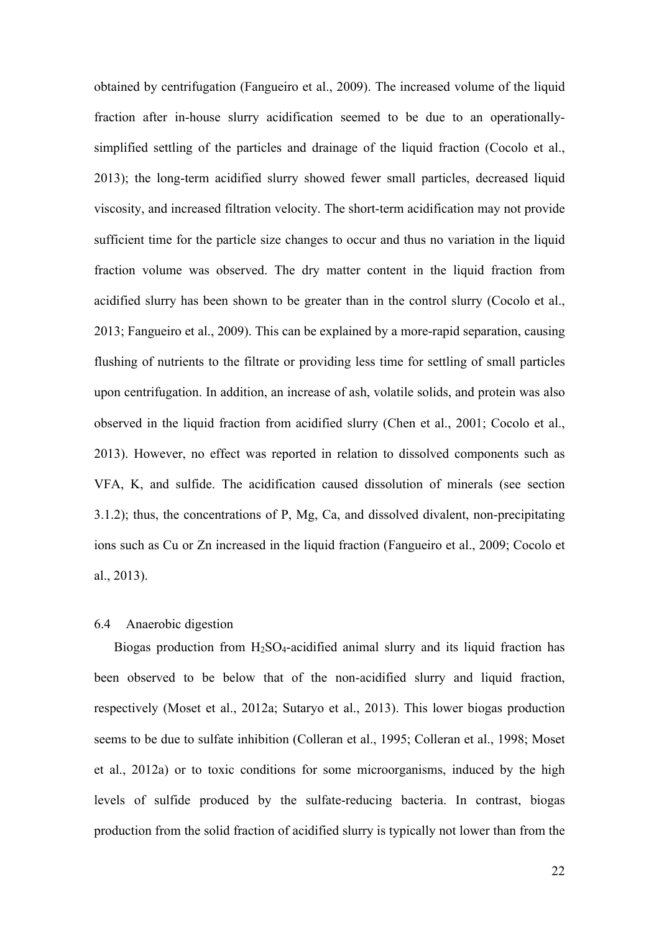obtained by centrifugation (Fangueiro et al., 2009). The increased volume of the liquid fraction after in-house slurry acidification seemed to be due to an operationallysimplified settling of the particles and drainage of the liquid fraction (Cocolo et al., 2013); the long-term acidified slurry showed fewer small particles, decreased liquid viscosity, and increased filtration velocity. The short-term acidification may not provide sufficient time for the particle size changes to occur and thus no variation in the liquid fraction volume was observed. The dry matter content in the liquid fraction from acidified slurry has been shown to be greater than in the control slurry (Cocolo et al., 2013; Fangueiro et al., 2009). This can be explained by a more-rapid separation, causing flushing of nutrients to the filtrate or providing less time for settling of small particles upon centrifugation. In addition, an increase of ash, volatile solids, and protein was also observed in the liquid fraction from acidified slurry (Chen et al., 2001; Cocolo et al., 2013). However, no effect was reported in relation to dissolved components such as VFA, K, and sulfide. The acidification caused dissolution of minerals (see section 3.1.2); thus, the concentrations of P, Mg, Ca, and dissolved divalent, non-precipitating ions such as Cu or Zn increased in the liquid fraction (Fangueiro et al., 2009; Cocolo et al., 2013).

# 6.4 Anaerobic digestion

Biogas production from  $H_2SO_4$ -acidified animal slurry and its liquid fraction has been observed to be below that of the non-acidified slurry and liquid fraction, respectively (Moset et al., 2012a; Sutaryo et al., 2013). This lower biogas production seems to be due to sulfate inhibition (Colleran et al., 1995; Colleran et al., 1998; Moset et al., 2012a) or to toxic conditions for some microorganisms, induced by the high levels of sulfide produced by the sulfate-reducing bacteria. In contrast, biogas production from the solid fraction of acidified slurry is typically not lower than from the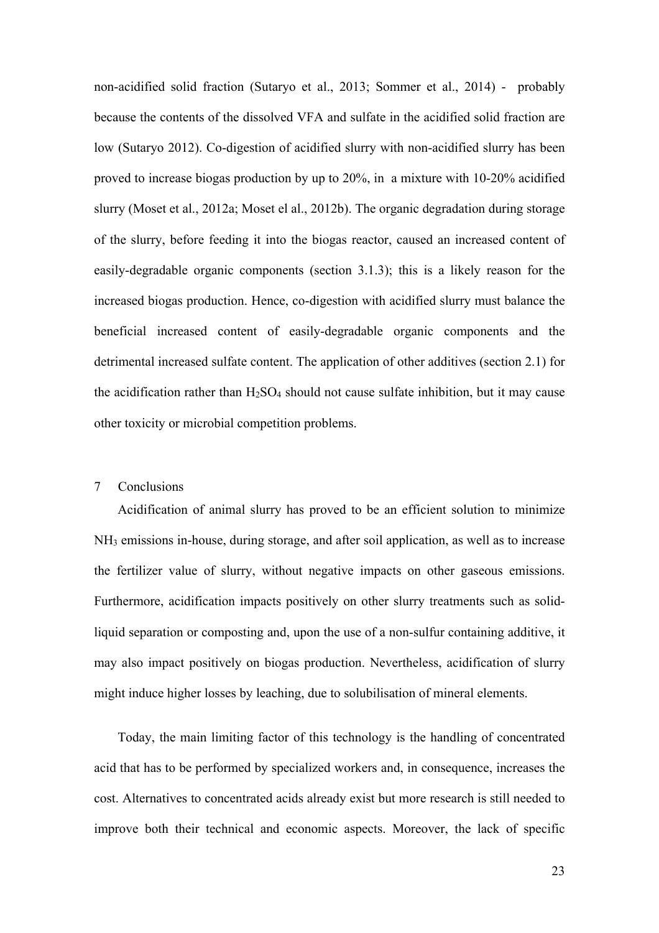non-acidified solid fraction (Sutaryo et al., 2013; Sommer et al., 2014) - probably because the contents of the dissolved VFA and sulfate in the acidified solid fraction are low (Sutaryo 2012). Co-digestion of acidified slurry with non-acidified slurry has been proved to increase biogas production by up to 20%, in a mixture with 10-20% acidified slurry (Moset et al., 2012a; Moset el al., 2012b). The organic degradation during storage of the slurry, before feeding it into the biogas reactor, caused an increased content of easily-degradable organic components (section 3.1.3); this is a likely reason for the increased biogas production. Hence, co-digestion with acidified slurry must balance the beneficial increased content of easily-degradable organic components and the detrimental increased sulfate content. The application of other additives (section 2.1) for the acidification rather than  $H_2SO_4$  should not cause sulfate inhibition, but it may cause other toxicity or microbial competition problems.

#### 7 Conclusions

Acidification of animal slurry has proved to be an efficient solution to minimize NH3 emissions in-house, during storage, and after soil application, as well as to increase the fertilizer value of slurry, without negative impacts on other gaseous emissions. Furthermore, acidification impacts positively on other slurry treatments such as solidliquid separation or composting and, upon the use of a non-sulfur containing additive, it may also impact positively on biogas production. Nevertheless, acidification of slurry might induce higher losses by leaching, due to solubilisation of mineral elements.

Today, the main limiting factor of this technology is the handling of concentrated acid that has to be performed by specialized workers and, in consequence, increases the cost. Alternatives to concentrated acids already exist but more research is still needed to improve both their technical and economic aspects. Moreover, the lack of specific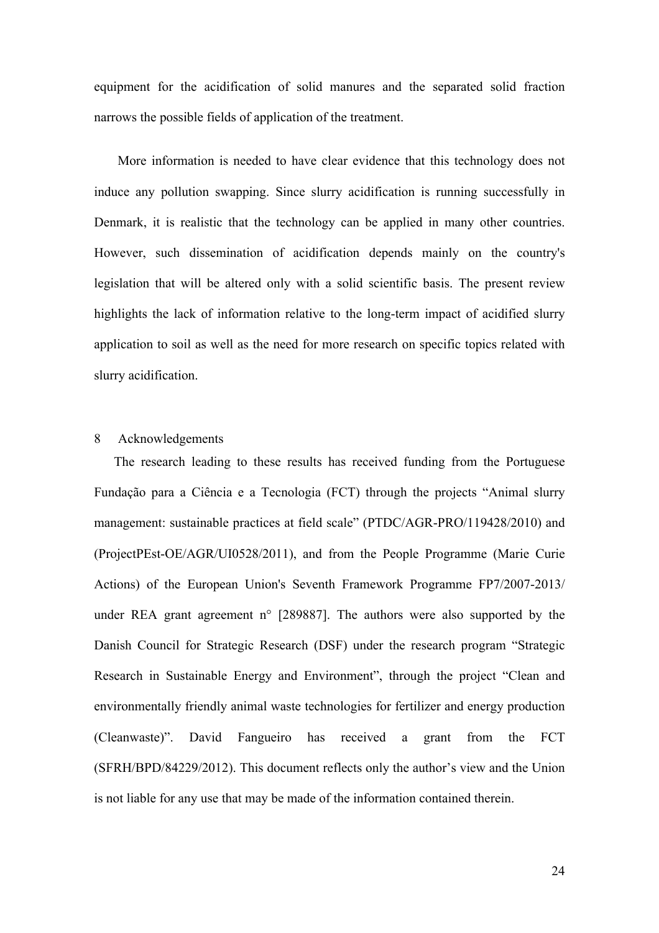equipment for the acidification of solid manures and the separated solid fraction narrows the possible fields of application of the treatment.

More information is needed to have clear evidence that this technology does not induce any pollution swapping. Since slurry acidification is running successfully in Denmark, it is realistic that the technology can be applied in many other countries. However, such dissemination of acidification depends mainly on the country's legislation that will be altered only with a solid scientific basis. The present review highlights the lack of information relative to the long-term impact of acidified slurry application to soil as well as the need for more research on specific topics related with slurry acidification.

### 8 Acknowledgements

The research leading to these results has received funding from the Portuguese Fundação para a Ciência e a Tecnologia (FCT) through the projects "Animal slurry management: sustainable practices at field scale" (PTDC/AGR-PRO/119428/2010) and (ProjectPEst-OE/AGR/UI0528/2011), and from the People Programme (Marie Curie Actions) of the European Union's Seventh Framework Programme FP7/2007-2013/ under REA grant agreement  $n^{\circ}$  [289887]. The authors were also supported by the Danish Council for Strategic Research (DSF) under the research program "Strategic Research in Sustainable Energy and Environment", through the project "Clean and environmentally friendly animal waste technologies for fertilizer and energy production (Cleanwaste)". David Fangueiro has received a grant from the FCT (SFRH/BPD/84229/2012). This document reflects only the author's view and the Union is not liable for any use that may be made of the information contained therein.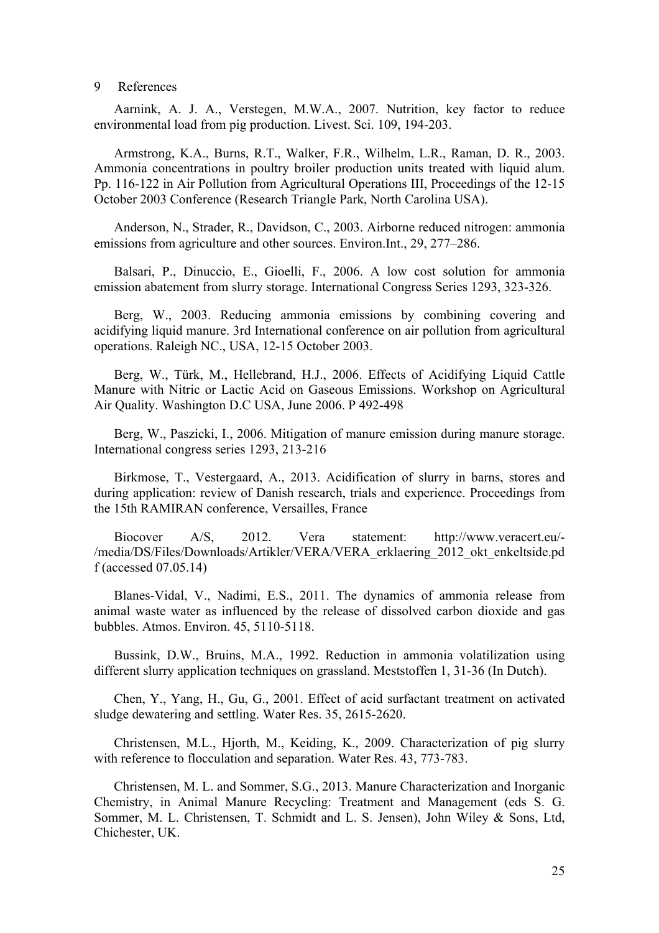#### 9 References

Aarnink, A. J. A., Verstegen, M.W.A., 2007. Nutrition, key factor to reduce environmental load from pig production. Livest. Sci. 109, 194-203.

Armstrong, K.A., Burns, R.T., Walker, F.R., Wilhelm, L.R., Raman, D. R., 2003. Ammonia concentrations in poultry broiler production units treated with liquid alum. Pp. 116-122 in Air Pollution from Agricultural Operations III, Proceedings of the 12-15 October 2003 Conference (Research Triangle Park, North Carolina USA).

Anderson, N., Strader, R., Davidson, C., 2003. Airborne reduced nitrogen: ammonia emissions from agriculture and other sources. Environ.Int., 29, 277–286.

Balsari, P., Dinuccio, E., Gioelli, F., 2006. A low cost solution for ammonia emission abatement from slurry storage. International Congress Series 1293, 323-326.

Berg, W., 2003. Reducing ammonia emissions by combining covering and acidifying liquid manure. 3rd International conference on air pollution from agricultural operations. Raleigh NC., USA, 12-15 October 2003.

Berg, W., Türk, M., Hellebrand, H.J., 2006. Effects of Acidifying Liquid Cattle Manure with Nitric or Lactic Acid on Gaseous Emissions. Workshop on Agricultural Air Quality. Washington D.C USA, June 2006. P 492-498

Berg, W., Paszicki, I., 2006. Mitigation of manure emission during manure storage. International congress series 1293, 213-216

Birkmose, T., Vestergaard, A., 2013. Acidification of slurry in barns, stores and during application: review of Danish research, trials and experience. Proceedings from the 15th RAMIRAN conference, Versailles, France

Biocover A/S, 2012. Vera statement: http://www.veracert.eu/- /media/DS/Files/Downloads/Artikler/VERA/VERA\_erklaering\_2012\_okt\_enkeltside.pd f (accessed 07.05.14)

Blanes-Vidal, V., Nadimi, E.S., 2011. The dynamics of ammonia release from animal waste water as influenced by the release of dissolved carbon dioxide and gas bubbles. Atmos. Environ. 45, 5110-5118.

Bussink, D.W., Bruins, M.A., 1992. Reduction in ammonia volatilization using different slurry application techniques on grassland. Meststoffen 1, 31-36 (In Dutch).

Chen, Y., Yang, H., Gu, G., 2001. Effect of acid surfactant treatment on activated sludge dewatering and settling. Water Res. 35, 2615-2620.

Christensen, M.L., Hjorth, M., Keiding, K., 2009. Characterization of pig slurry with reference to flocculation and separation. Water Res. 43, 773-783.

Christensen, M. L. and Sommer, S.G., 2013. Manure Characterization and Inorganic Chemistry, in Animal Manure Recycling: Treatment and Management (eds S. G. Sommer, M. L. Christensen, T. Schmidt and L. S. Jensen), John Wiley & Sons, Ltd, Chichester, UK.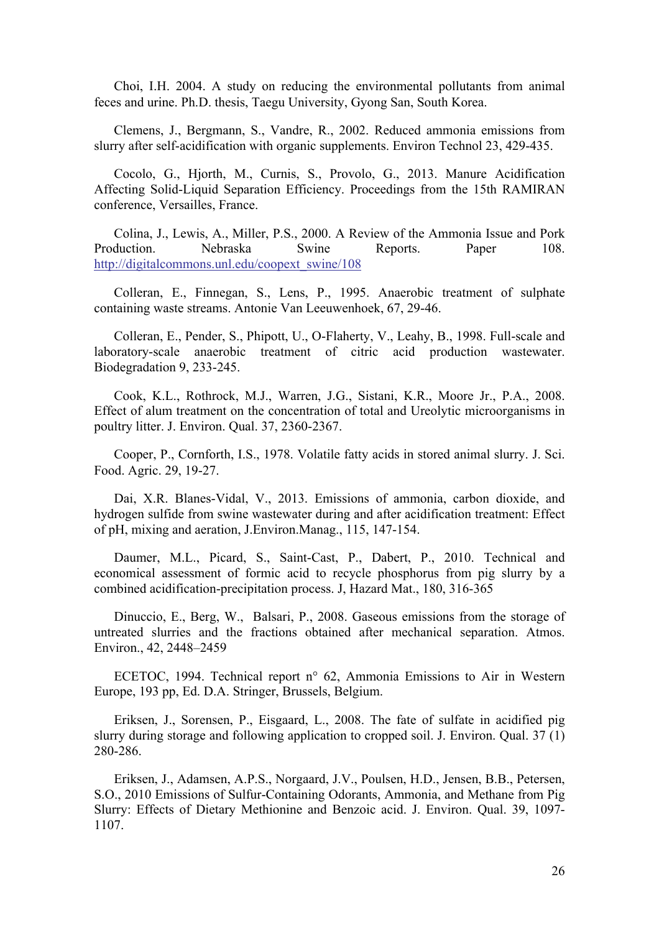Choi, I.H. 2004. A study on reducing the environmental pollutants from animal feces and urine. Ph.D. thesis, Taegu University, Gyong San, South Korea.

Clemens, J., Bergmann, S., Vandre, R., 2002. Reduced ammonia emissions from slurry after self-acidification with organic supplements. Environ Technol 23, 429-435.

Cocolo, G., Hjorth, M., Curnis, S., Provolo, G., 2013. Manure Acidification Affecting Solid-Liquid Separation Efficiency. Proceedings from the 15th RAMIRAN conference, Versailles, France.

Colina, J., Lewis, A., Miller, P.S., 2000. A Review of the Ammonia Issue and Pork Production. Nebraska Swine Reports. Paper 108. http://digitalcommons.unl.edu/coopext\_swine/108

Colleran, E., Finnegan, S., Lens, P., 1995. Anaerobic treatment of sulphate containing waste streams. Antonie Van Leeuwenhoek, 67, 29-46.

Colleran, E., Pender, S., Phipott, U., O-Flaherty, V., Leahy, B., 1998. Full-scale and laboratory-scale anaerobic treatment of citric acid production wastewater. Biodegradation 9, 233-245.

Cook, K.L., Rothrock, M.J., Warren, J.G., Sistani, K.R., Moore Jr., P.A., 2008. Effect of alum treatment on the concentration of total and Ureolytic microorganisms in poultry litter. J. Environ. Qual. 37, 2360-2367.

Cooper, P., Cornforth, I.S., 1978. Volatile fatty acids in stored animal slurry. J. Sci. Food. Agric. 29, 19-27.

Dai, X.R. Blanes-Vidal, V., 2013. Emissions of ammonia, carbon dioxide, and hydrogen sulfide from swine wastewater during and after acidification treatment: Effect of pH, mixing and aeration, J.Environ.Manag., 115, 147-154.

Daumer, M.L., Picard, S., Saint-Cast, P., Dabert, P., 2010. Technical and economical assessment of formic acid to recycle phosphorus from pig slurry by a combined acidification-precipitation process. J, Hazard Mat., 180, 316-365

Dinuccio, E., Berg, W., Balsari, P., 2008. Gaseous emissions from the storage of untreated slurries and the fractions obtained after mechanical separation. Atmos. Environ., 42, 2448–2459

ECETOC, 1994. Technical report n° 62, Ammonia Emissions to Air in Western Europe, 193 pp, Ed. D.A. Stringer, Brussels, Belgium.

Eriksen, J., Sorensen, P., Eisgaard, L., 2008. The fate of sulfate in acidified pig slurry during storage and following application to cropped soil. J. Environ. Qual. 37 (1) 280-286.

Eriksen, J., Adamsen, A.P.S., Norgaard, J.V., Poulsen, H.D., Jensen, B.B., Petersen, S.O., 2010 Emissions of Sulfur-Containing Odorants, Ammonia, and Methane from Pig Slurry: Effects of Dietary Methionine and Benzoic acid. J. Environ. Qual. 39, 1097- 1107.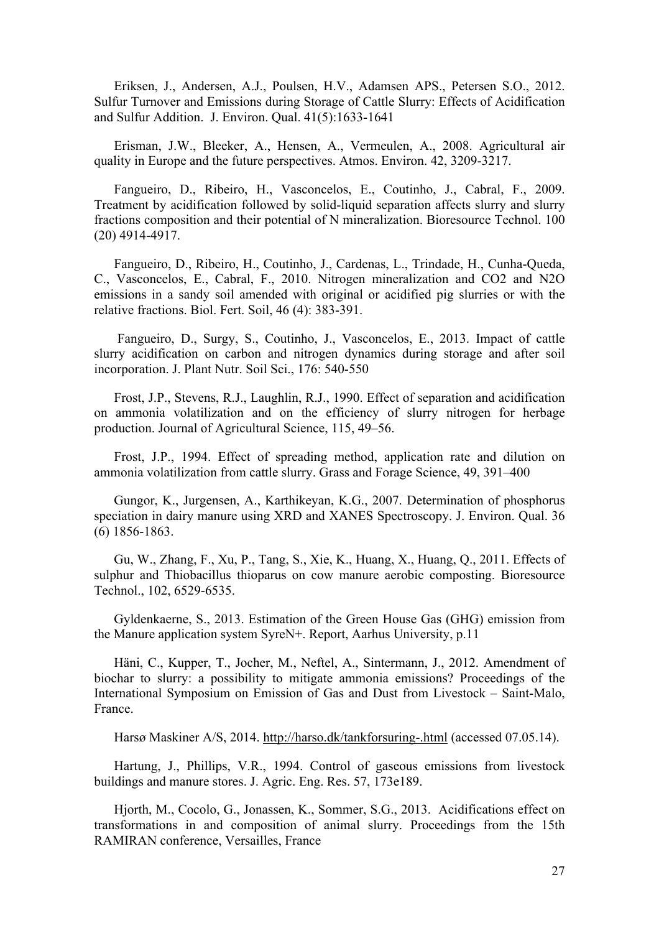Eriksen, J., Andersen, A.J., Poulsen, H.V., Adamsen APS., Petersen S.O., 2012. Sulfur Turnover and Emissions during Storage of Cattle Slurry: Effects of Acidification and Sulfur Addition. J. Environ. Qual. 41(5):1633-1641

Erisman, J.W., Bleeker, A., Hensen, A., Vermeulen, A., 2008. Agricultural air quality in Europe and the future perspectives. Atmos. Environ. 42, 3209-3217.

Fangueiro, D., Ribeiro, H., Vasconcelos, E., Coutinho, J., Cabral, F., 2009. Treatment by acidification followed by solid-liquid separation affects slurry and slurry fractions composition and their potential of N mineralization. Bioresource Technol. 100 (20) 4914-4917.

Fangueiro, D., Ribeiro, H., Coutinho, J., Cardenas, L., Trindade, H., Cunha-Queda, C., Vasconcelos, E., Cabral, F., 2010. Nitrogen mineralization and CO2 and N2O emissions in a sandy soil amended with original or acidified pig slurries or with the relative fractions. Biol. Fert. Soil, 46 (4): 383-391.

Fangueiro, D., Surgy, S., Coutinho, J., Vasconcelos, E., 2013. Impact of cattle slurry acidification on carbon and nitrogen dynamics during storage and after soil incorporation. J. Plant Nutr. Soil Sci., 176: 540-550

Frost, J.P., Stevens, R.J., Laughlin, R.J., 1990. Effect of separation and acidification on ammonia volatilization and on the efficiency of slurry nitrogen for herbage production. Journal of Agricultural Science, 115, 49–56.

Frost, J.P., 1994. Effect of spreading method, application rate and dilution on ammonia volatilization from cattle slurry. Grass and Forage Science, 49, 391–400

Gungor, K., Jurgensen, A., Karthikeyan, K.G., 2007. Determination of phosphorus speciation in dairy manure using XRD and XANES Spectroscopy. J. Environ. Qual. 36 (6) 1856-1863.

Gu, W., Zhang, F., Xu, P., Tang, S., Xie, K., Huang, X., Huang, Q., 2011. Effects of sulphur and Thiobacillus thioparus on cow manure aerobic composting. Bioresource Technol., 102, 6529-6535.

Gyldenkaerne, S., 2013. Estimation of the Green House Gas (GHG) emission from the Manure application system SyreN+. Report, Aarhus University, p.11

Häni, C., Kupper, T., Jocher, M., Neftel, A., Sintermann, J., 2012. Amendment of biochar to slurry: a possibility to mitigate ammonia emissions? Proceedings of the International Symposium on Emission of Gas and Dust from Livestock – Saint-Malo, France.

Harsø Maskiner A/S, 2014. http://harso.dk/tankforsuring-.html (accessed 07.05.14).

Hartung, J., Phillips, V.R., 1994. Control of gaseous emissions from livestock buildings and manure stores. J. Agric. Eng. Res. 57, 173e189.

Hjorth, M., Cocolo, G., Jonassen, K., Sommer, S.G., 2013. Acidifications effect on transformations in and composition of animal slurry. Proceedings from the 15th RAMIRAN conference, Versailles, France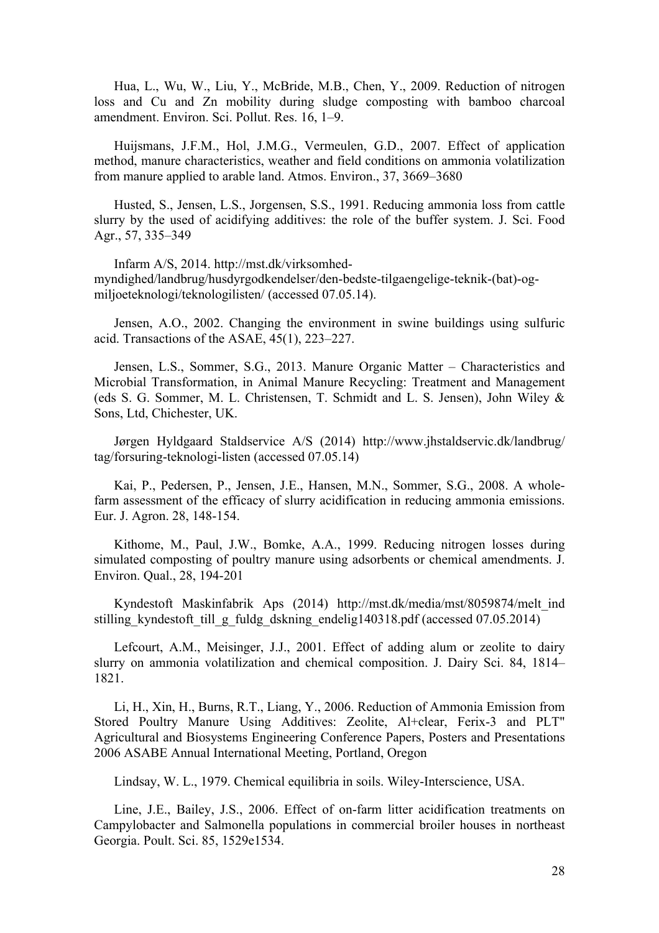Hua, L., Wu, W., Liu, Y., McBride, M.B., Chen, Y., 2009. Reduction of nitrogen loss and Cu and Zn mobility during sludge composting with bamboo charcoal amendment. Environ. Sci. Pollut. Res. 16, 1–9.

Huijsmans, J.F.M., Hol, J.M.G., Vermeulen, G.D., 2007. Effect of application method, manure characteristics, weather and field conditions on ammonia volatilization from manure applied to arable land. Atmos. Environ., 37, 3669–3680

Husted, S., Jensen, L.S., Jorgensen, S.S., 1991. Reducing ammonia loss from cattle slurry by the used of acidifying additives: the role of the buffer system. J. Sci. Food Agr., 57, 335–349

Infarm A/S, 2014. http://mst.dk/virksomhedmyndighed/landbrug/husdyrgodkendelser/den-bedste-tilgaengelige-teknik-(bat)-ogmiljoeteknologi/teknologilisten/ (accessed 07.05.14).

Jensen, A.O., 2002. Changing the environment in swine buildings using sulfuric acid. Transactions of the ASAE, 45(1), 223–227.

Jensen, L.S., Sommer, S.G., 2013. Manure Organic Matter – Characteristics and Microbial Transformation, in Animal Manure Recycling: Treatment and Management (eds S. G. Sommer, M. L. Christensen, T. Schmidt and L. S. Jensen), John Wiley & Sons, Ltd, Chichester, UK.

Jørgen Hyldgaard Staldservice A/S (2014) http://www.jhstaldservic.dk/landbrug/ tag/forsuring-teknologi-listen (accessed 07.05.14)

Kai, P., Pedersen, P., Jensen, J.E., Hansen, M.N., Sommer, S.G., 2008. A wholefarm assessment of the efficacy of slurry acidification in reducing ammonia emissions. Eur. J. Agron. 28, 148-154.

Kithome, M., Paul, J.W., Bomke, A.A., 1999. Reducing nitrogen losses during simulated composting of poultry manure using adsorbents or chemical amendments. J. Environ. Qual., 28, 194-201

Kyndestoft Maskinfabrik Aps (2014) http://mst.dk/media/mst/8059874/melt\_ind stilling kyndestoft till g fuldg dskning endelig140318.pdf (accessed 07.05.2014)

Lefcourt, A.M., Meisinger, J.J., 2001. Effect of adding alum or zeolite to dairy slurry on ammonia volatilization and chemical composition. J. Dairy Sci. 84, 1814– 1821.

Li, H., Xin, H., Burns, R.T., Liang, Y., 2006. Reduction of Ammonia Emission from Stored Poultry Manure Using Additives: Zeolite, Al+clear, Ferix-3 and PLT" Agricultural and Biosystems Engineering Conference Papers, Posters and Presentations 2006 ASABE Annual International Meeting, Portland, Oregon

Lindsay, W. L., 1979. Chemical equilibria in soils. Wiley-Interscience, USA.

Line, J.E., Bailey, J.S., 2006. Effect of on-farm litter acidification treatments on Campylobacter and Salmonella populations in commercial broiler houses in northeast Georgia. Poult. Sci. 85, 1529e1534.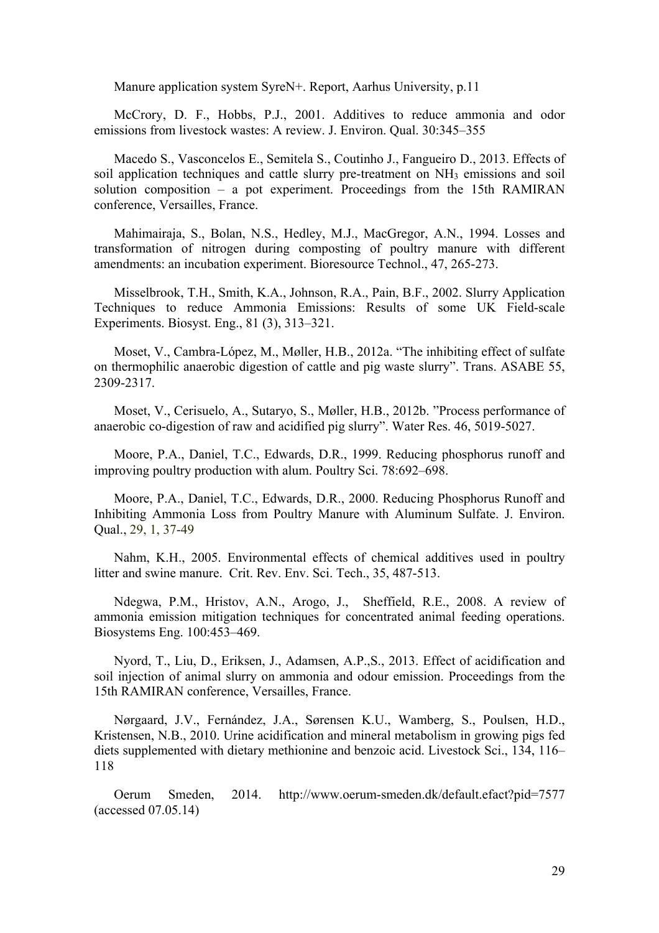Manure application system SyreN+. Report, Aarhus University, p.11

McCrory, D. F., Hobbs, P.J., 2001. Additives to reduce ammonia and odor emissions from livestock wastes: A review. J. Environ. Qual. 30:345–355

Macedo S., Vasconcelos E., Semitela S., Coutinho J., Fangueiro D., 2013. Effects of soil application techniques and cattle slurry pre-treatment on NH3 emissions and soil solution composition – a pot experiment. Proceedings from the 15th RAMIRAN conference, Versailles, France.

Mahimairaja, S., Bolan, N.S., Hedley, M.J., MacGregor, A.N., 1994. Losses and transformation of nitrogen during composting of poultry manure with different amendments: an incubation experiment. Bioresource Technol., 47, 265-273.

Misselbrook, T.H., Smith, K.A., Johnson, R.A., Pain, B.F., 2002. Slurry Application Techniques to reduce Ammonia Emissions: Results of some UK Field-scale Experiments. Biosyst. Eng., 81 (3), 313–321.

Moset, V., Cambra-López, M., Møller, H.B., 2012a. "The inhibiting effect of sulfate on thermophilic anaerobic digestion of cattle and pig waste slurry". Trans. ASABE 55, 2309-2317.

Moset, V., Cerisuelo, A., Sutaryo, S., Møller, H.B., 2012b. "Process performance of anaerobic co-digestion of raw and acidified pig slurry". Water Res. 46, 5019-5027.

Moore, P.A., Daniel, T.C., Edwards, D.R., 1999. Reducing phosphorus runoff and improving poultry production with alum. Poultry Sci. 78:692–698.

Moore, P.A., Daniel, T.C., Edwards, D.R., 2000. Reducing Phosphorus Runoff and Inhibiting Ammonia Loss from Poultry Manure with Aluminum Sulfate. J. Environ. Qual., 29, 1, 37-49

Nahm, K.H., 2005. Environmental effects of chemical additives used in poultry litter and swine manure. Crit. Rev. Env. Sci. Tech., 35, 487-513.

Ndegwa, P.M., Hristov, A.N., Arogo, J., Sheffield, R.E., 2008. A review of ammonia emission mitigation techniques for concentrated animal feeding operations. Biosystems Eng. 100:453–469.

Nyord, T., Liu, D., Eriksen, J., Adamsen, A.P.,S., 2013. Effect of acidification and soil injection of animal slurry on ammonia and odour emission. Proceedings from the 15th RAMIRAN conference, Versailles, France.

Nørgaard, J.V., Fernández, J.A., Sørensen K.U., Wamberg, S., Poulsen, H.D., Kristensen, N.B., 2010. Urine acidification and mineral metabolism in growing pigs fed diets supplemented with dietary methionine and benzoic acid. Livestock Sci., 134, 116– 118

Oerum Smeden, 2014. http://www.oerum-smeden.dk/default.efact?pid=7577 (accessed 07.05.14)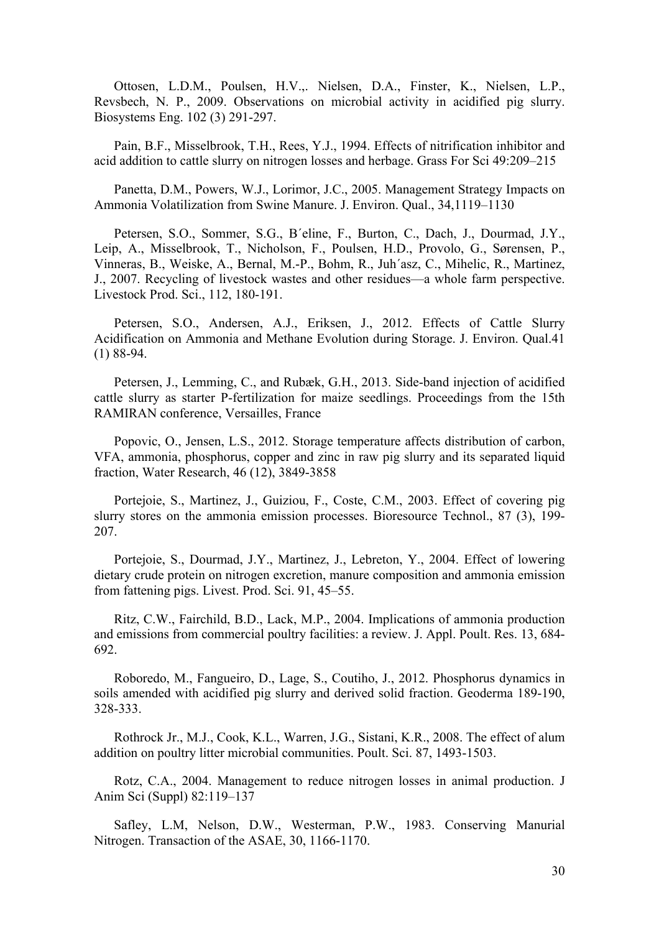Ottosen, L.D.M., Poulsen, H.V.,. Nielsen, D.A., Finster, K., Nielsen, L.P., Revsbech, N. P., 2009. Observations on microbial activity in acidified pig slurry. Biosystems Eng. 102 (3) 291-297.

Pain, B.F., Misselbrook, T.H., Rees, Y.J., 1994. Effects of nitrification inhibitor and acid addition to cattle slurry on nitrogen losses and herbage. Grass For Sci 49:209–215

Panetta, D.M., Powers, W.J., Lorimor, J.C., 2005. Management Strategy Impacts on Ammonia Volatilization from Swine Manure. J. Environ. Qual., 34,1119–1130

Petersen, S.O., Sommer, S.G., B´eline, F., Burton, C., Dach, J., Dourmad, J.Y., Leip, A., Misselbrook, T., Nicholson, F., Poulsen, H.D., Provolo, G., Sørensen, P., Vinneras, B., Weiske, A., Bernal, M.-P., Bohm, R., Juh´asz, C., Mihelic, R., Martinez, J., 2007. Recycling of livestock wastes and other residues—a whole farm perspective. Livestock Prod. Sci., 112, 180-191.

Petersen, S.O., Andersen, A.J., Eriksen, J., 2012. Effects of Cattle Slurry Acidification on Ammonia and Methane Evolution during Storage. J. Environ. Qual.41 (1) 88-94.

Petersen, J., Lemming, C., and Rubæk, G.H., 2013. Side-band injection of acidified cattle slurry as starter P-fertilization for maize seedlings. Proceedings from the 15th RAMIRAN conference, Versailles, France

Popovic, O., Jensen, L.S., 2012. Storage temperature affects distribution of carbon, VFA, ammonia, phosphorus, copper and zinc in raw pig slurry and its separated liquid fraction, Water Research, 46 (12), 3849-3858

Portejoie, S., Martinez, J., Guiziou, F., Coste, C.M., 2003. Effect of covering pig slurry stores on the ammonia emission processes. Bioresource Technol., 87 (3), 199- 207.

Portejoie, S., Dourmad, J.Y., Martinez, J., Lebreton, Y., 2004. Effect of lowering dietary crude protein on nitrogen excretion, manure composition and ammonia emission from fattening pigs. Livest. Prod. Sci. 91, 45–55.

Ritz, C.W., Fairchild, B.D., Lack, M.P., 2004. Implications of ammonia production and emissions from commercial poultry facilities: a review. J. Appl. Poult. Res. 13, 684- 692.

Roboredo, M., Fangueiro, D., Lage, S., Coutiho, J., 2012. Phosphorus dynamics in soils amended with acidified pig slurry and derived solid fraction. Geoderma 189-190, 328-333.

Rothrock Jr., M.J., Cook, K.L., Warren, J.G., Sistani, K.R., 2008. The effect of alum addition on poultry litter microbial communities. Poult. Sci. 87, 1493-1503.

Rotz, C.A., 2004. Management to reduce nitrogen losses in animal production. J Anim Sci (Suppl) 82:119–137

Safley, L.M, Nelson, D.W., Westerman, P.W., 1983. Conserving Manurial Nitrogen. Transaction of the ASAE, 30, 1166-1170.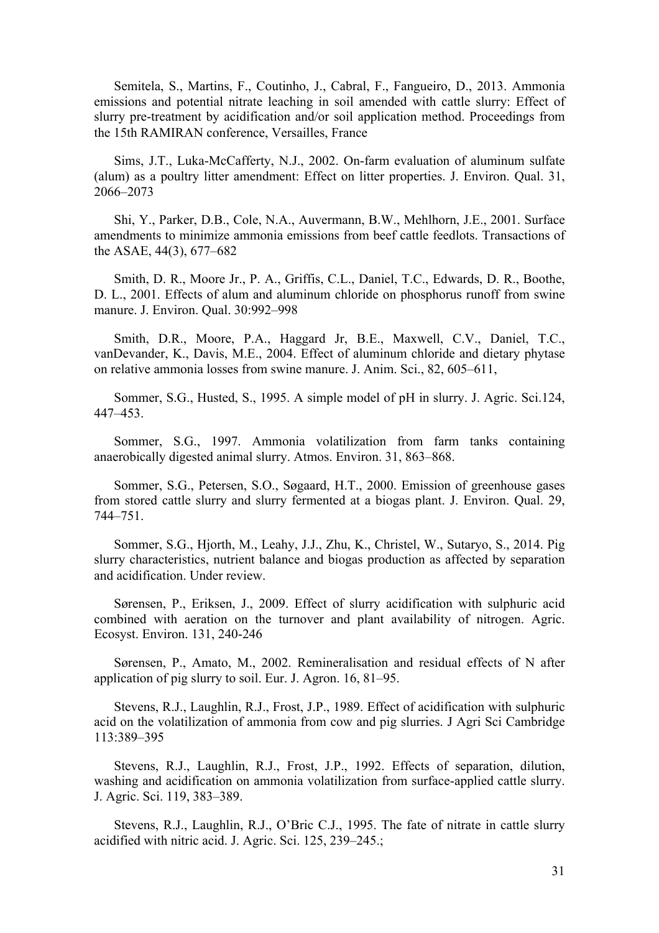Semitela, S., Martins, F., Coutinho, J., Cabral, F., Fangueiro, D., 2013. Ammonia emissions and potential nitrate leaching in soil amended with cattle slurry: Effect of slurry pre-treatment by acidification and/or soil application method. Proceedings from the 15th RAMIRAN conference, Versailles, France

Sims, J.T., Luka-McCafferty, N.J., 2002. On-farm evaluation of aluminum sulfate (alum) as a poultry litter amendment: Effect on litter properties. J. Environ. Qual. 31, 2066–2073

Shi, Y., Parker, D.B., Cole, N.A., Auvermann, B.W., Mehlhorn, J.E., 2001. Surface amendments to minimize ammonia emissions from beef cattle feedlots. Transactions of the ASAE, 44(3), 677–682

Smith, D. R., Moore Jr., P. A., Griffis, C.L., Daniel, T.C., Edwards, D. R., Boothe, D. L., 2001. Effects of alum and aluminum chloride on phosphorus runoff from swine manure. J. Environ. Qual. 30:992–998

Smith, D.R., Moore, P.A., Haggard Jr, B.E., Maxwell, C.V., Daniel, T.C., vanDevander, K., Davis, M.E., 2004. Effect of aluminum chloride and dietary phytase on relative ammonia losses from swine manure. J. Anim. Sci., 82, 605–611,

Sommer, S.G., Husted, S., 1995. A simple model of pH in slurry. J. Agric. Sci.124, 447–453.

Sommer, S.G., 1997. Ammonia volatilization from farm tanks containing anaerobically digested animal slurry. Atmos. Environ. 31, 863–868.

Sommer, S.G., Petersen, S.O., Søgaard, H.T., 2000. Emission of greenhouse gases from stored cattle slurry and slurry fermented at a biogas plant. J. Environ. Qual. 29, 744–751.

Sommer, S.G., Hjorth, M., Leahy, J.J., Zhu, K., Christel, W., Sutaryo, S., 2014. Pig slurry characteristics, nutrient balance and biogas production as affected by separation and acidification. Under review.

Sørensen, P., Eriksen, J., 2009. Effect of slurry acidification with sulphuric acid combined with aeration on the turnover and plant availability of nitrogen. Agric. Ecosyst. Environ. 131, 240-246

Sørensen, P., Amato, M., 2002. Remineralisation and residual effects of N after application of pig slurry to soil. Eur. J. Agron. 16, 81–95.

Stevens, R.J., Laughlin, R.J., Frost, J.P., 1989. Effect of acidification with sulphuric acid on the volatilization of ammonia from cow and pig slurries. J Agri Sci Cambridge 113:389–395

Stevens, R.J., Laughlin, R.J., Frost, J.P., 1992. Effects of separation, dilution, washing and acidification on ammonia volatilization from surface-applied cattle slurry. J. Agric. Sci. 119, 383–389.

Stevens, R.J., Laughlin, R.J., O'Bric C.J., 1995. The fate of nitrate in cattle slurry acidified with nitric acid. J. Agric. Sci. 125, 239–245.;